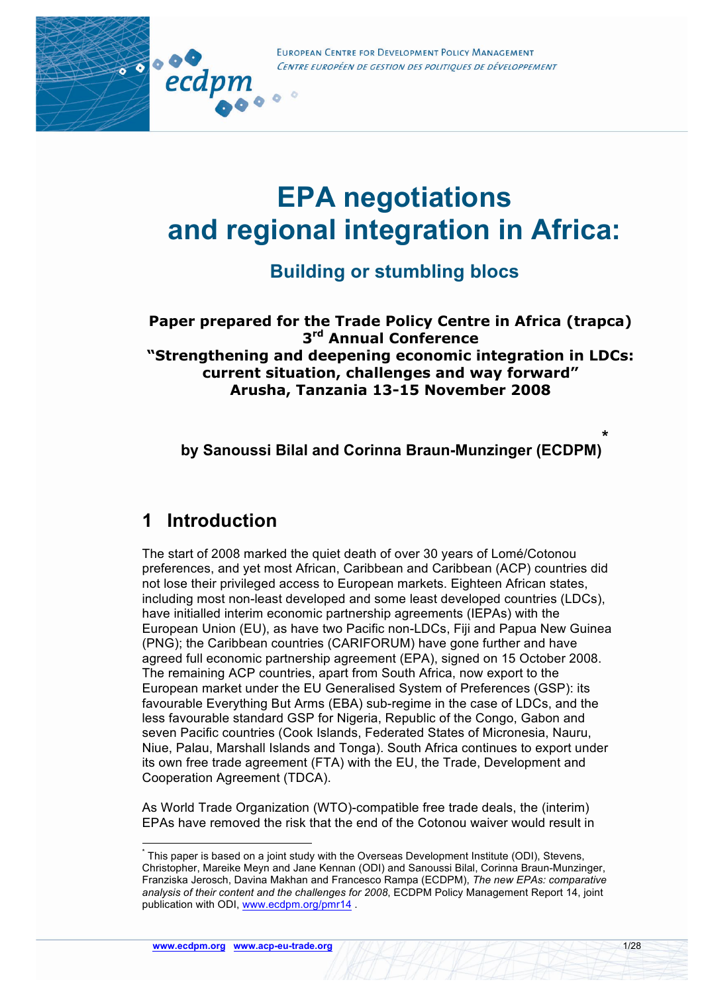



# **Building or stumbling blocs**

**Paper prepared for the Trade Policy Centre in Africa (trapca) 3rd Annual Conference "Strengthening and deepening economic integration in LDCs: current situation, challenges and way forward" Arusha, Tanzania 13-15 November 2008**

**by Sanoussi Bilal and Corinna Braun-Munzinger (ECDPM) \***

# **1 Introduction**

....

ecdpm

The start of 2008 marked the quiet death of over 30 years of Lomé/Cotonou preferences, and yet most African, Caribbean and Caribbean (ACP) countries did not lose their privileged access to European markets. Eighteen African states, including most non-least developed and some least developed countries (LDCs), have initialled interim economic partnership agreements (IEPAs) with the European Union (EU), as have two Pacific non-LDCs, Fiji and Papua New Guinea (PNG); the Caribbean countries (CARIFORUM) have gone further and have agreed full economic partnership agreement (EPA), signed on 15 October 2008. The remaining ACP countries, apart from South Africa, now export to the European market under the EU Generalised System of Preferences (GSP): its favourable Everything But Arms (EBA) sub-regime in the case of LDCs, and the less favourable standard GSP for Nigeria, Republic of the Congo, Gabon and seven Pacific countries (Cook Islands, Federated States of Micronesia, Nauru, Niue, Palau, Marshall Islands and Tonga). South Africa continues to export under its own free trade agreement (FTA) with the EU, the Trade, Development and Cooperation Agreement (TDCA).

As World Trade Organization (WTO)-compatible free trade deals, the (interim) EPAs have removed the risk that the end of the Cotonou waiver would result in

This paper is based on a joint study with the Overseas Development Institute (ODI), Stevens, Christopher, Mareike Meyn and Jane Kennan (ODI) and Sanoussi Bilal, Corinna Braun-Munzinger, Franziska Jerosch, Davina Makhan and Francesco Rampa (ECDPM), *The new EPAs: comparative analysis of their content and the challenges for 2008*, ECDPM Policy Management Report 14, joint publication with ODI, www.ecdpm.org/pmr14 .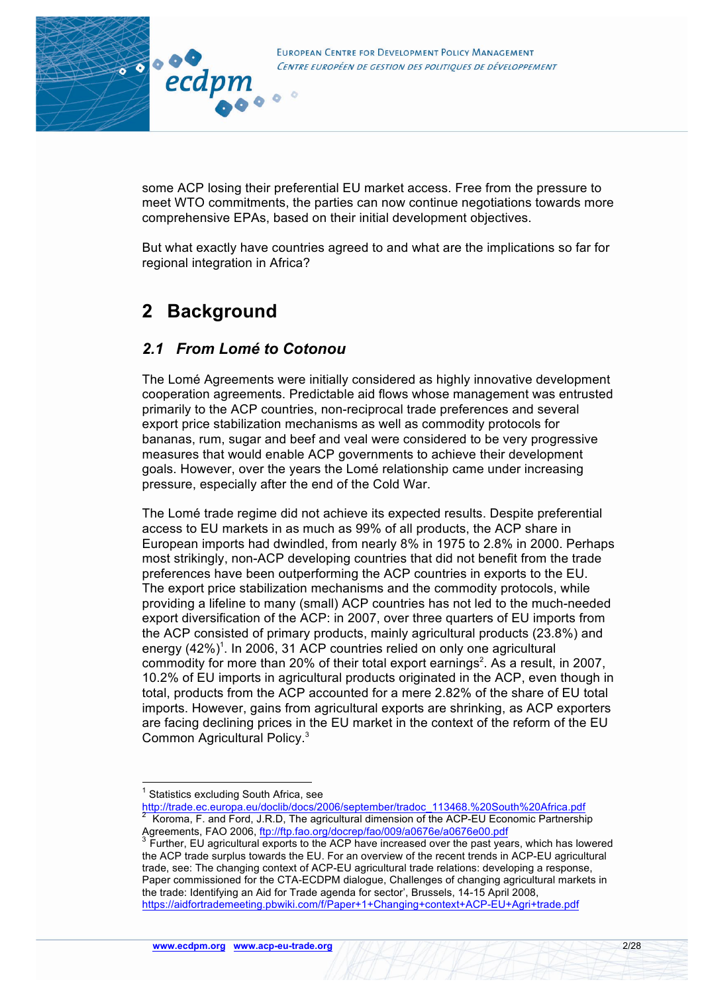

some ACP losing their preferential EU market access. Free from the pressure to meet WTO commitments, the parties can now continue negotiations towards more comprehensive EPAs, based on their initial development objectives.

But what exactly have countries agreed to and what are the implications so far for regional integration in Africa?

# **2 Background**

ecdpm

 $\overline{c}$ 

80000

## *2.1 From Lomé to Cotonou*

The Lomé Agreements were initially considered as highly innovative development cooperation agreements. Predictable aid flows whose management was entrusted primarily to the ACP countries, non-reciprocal trade preferences and several export price stabilization mechanisms as well as commodity protocols for bananas, rum, sugar and beef and veal were considered to be very progressive measures that would enable ACP governments to achieve their development goals. However, over the years the Lomé relationship came under increasing pressure, especially after the end of the Cold War.

The Lomé trade regime did not achieve its expected results. Despite preferential access to EU markets in as much as 99% of all products, the ACP share in European imports had dwindled, from nearly 8% in 1975 to 2.8% in 2000. Perhaps most strikingly, non-ACP developing countries that did not benefit from the trade preferences have been outperforming the ACP countries in exports to the EU. The export price stabilization mechanisms and the commodity protocols, while providing a lifeline to many (small) ACP countries has not led to the much-needed export diversification of the ACP: in 2007, over three quarters of EU imports from the ACP consisted of primary products, mainly agricultural products (23.8%) and energy (42%)<sup>1</sup>. In 2006, 31 ACP countries relied on only one agricultural commodity for more than 20% of their total export earnings<sup>2</sup>. As a result, in 2007, 10.2% of EU imports in agricultural products originated in the ACP, even though in total, products from the ACP accounted for a mere 2.82% of the share of EU total imports. However, gains from agricultural exports are shrinking, as ACP exporters are facing declining prices in the EU market in the context of the reform of the EU Common Agricultural Policy. 3

 $<sup>1</sup>$  Statistics excluding South Africa, see</sup>

http://trade.ec.europa.eu/doclib/docs/2006/september/tradoc\_113468.%20South%20Africa.pdf <sup>2</sup> Koroma, F. and Ford, J.R.D, The agricultural dimension of the ACP-EU Economic Partnership

Agreements, FAO 2006, ftp://ftp.fao.org/docrep/fao/009/a0676e/a0676e00.pdf<br><sup>3</sup> Further, EU agricultural exports to the ACP have increased over the past years, which has lowered the ACP trade surplus towards the EU. For an overview of the recent trends in ACP-EU agricultural trade, see: The changing context of ACP-EU agricultural trade relations: developing a response, Paper commissioned for the CTA-ECDPM dialogue, Challenges of changing agricultural markets in the trade: Identifying an Aid for Trade agenda for sector', Brussels, 14-15 April 2008, https://aidfortrademeeting.pbwiki.com/f/Paper+1+Changing+context+ACP-EU+Agri+trade.pdf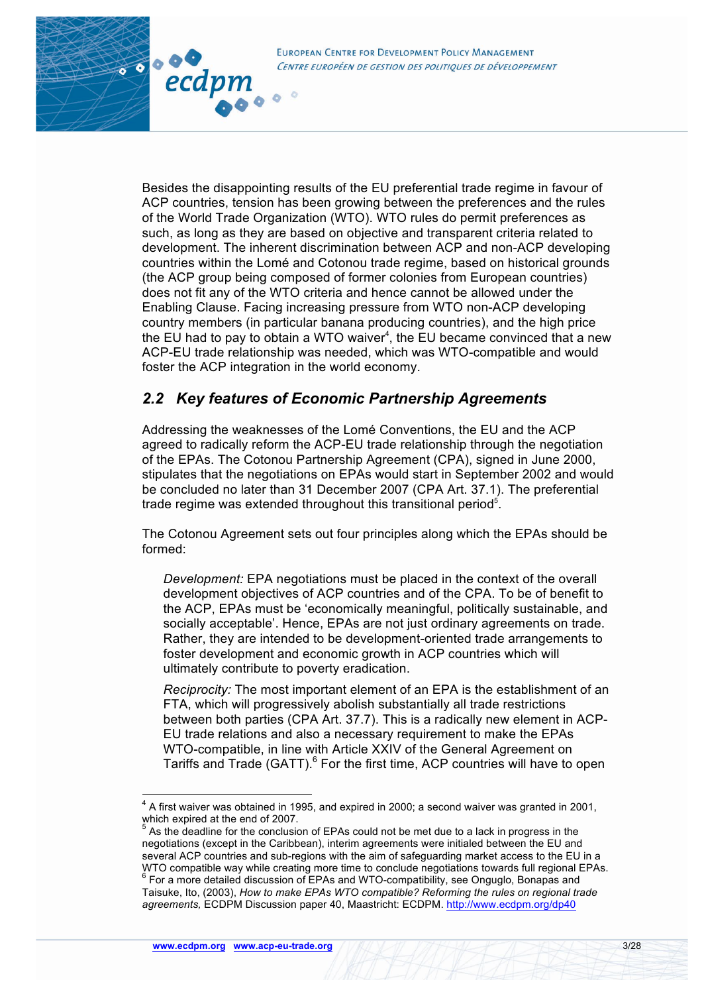

80000

ecdpm

 $\overline{c}$ 

Besides the disappointing results of the EU preferential trade regime in favour of ACP countries, tension has been growing between the preferences and the rules of the World Trade Organization (WTO). WTO rules do permit preferences as such, as long as they are based on objective and transparent criteria related to development. The inherent discrimination between ACP and non-ACP developing countries within the Lomé and Cotonou trade regime, based on historical grounds (the ACP group being composed of former colonies from European countries) does not fit any of the WTO criteria and hence cannot be allowed under the Enabling Clause. Facing increasing pressure from WTO non-ACP developing country members (in particular banana producing countries), and the high price the EU had to pay to obtain a WTO waiver<sup>4</sup>, the EU became convinced that a new ACP-EU trade relationship was needed, which was WTO-compatible and would foster the ACP integration in the world economy.

# *2.2 Key features of Economic Partnership Agreements*

Addressing the weaknesses of the Lomé Conventions, the EU and the ACP agreed to radically reform the ACP-EU trade relationship through the negotiation of the EPAs. The Cotonou Partnership Agreement (CPA), signed in June 2000, stipulates that the negotiations on EPAs would start in September 2002 and would be concluded no later than 31 December 2007 (CPA Art. 37.1). The preferential trade regime was extended throughout this transitional period<sup>5</sup>.

The Cotonou Agreement sets out four principles along which the EPAs should be formed:

*Development:* EPA negotiations must be placed in the context of the overall development objectives of ACP countries and of the CPA. To be of benefit to the ACP, EPAs must be 'economically meaningful, politically sustainable, and socially acceptable'. Hence, EPAs are not just ordinary agreements on trade. Rather, they are intended to be development-oriented trade arrangements to foster development and economic growth in ACP countries which will ultimately contribute to poverty eradication.

*Reciprocity:* The most important element of an EPA is the establishment of an FTA, which will progressively abolish substantially all trade restrictions between both parties (CPA Art. 37.7). This is a radically new element in ACP-EU trade relations and also a necessary requirement to make the EPAs WTO-compatible, in line with Article XXIV of the General Agreement on Tariffs and Trade (GATT). $<sup>6</sup>$  For the first time, ACP countries will have to open</sup>

<sup>&</sup>lt;sup>4</sup> A first waiver was obtained in 1995, and expired in 2000; a second waiver was granted in 2001, which expired at the end of 2007.

<sup>5</sup> As the deadline for the conclusion of EPAs could not be met due to a lack in progress in the negotiations (except in the Caribbean), interim agreements were initialed between the EU and several ACP countries and sub-regions with the aim of safeguarding market access to the EU in a WTO compatible way while creating more time to conclude negotiations towards full regional EPAs.<br><sup>6</sup> For a more detailed discussion of EPAs and WTO-compatibility, see Onguglo, Bonapas and Taisuke, Ito, (2003), *How to make EPAs WTO compatible? Reforming the rules on regional trade agreements,* ECDPM Discussion paper 40, Maastricht: ECDPM. http://www.ecdpm.org/dp40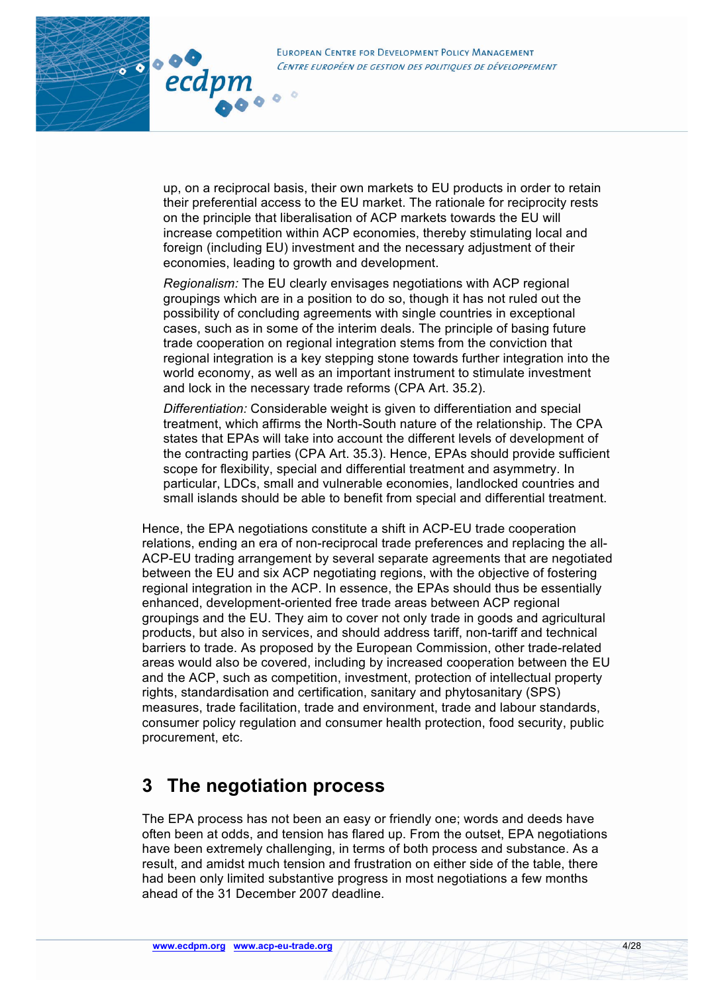

up, on a reciprocal basis, their own markets to EU products in order to retain their preferential access to the EU market. The rationale for reciprocity rests on the principle that liberalisation of ACP markets towards the EU will increase competition within ACP economies, thereby stimulating local and foreign (including EU) investment and the necessary adjustment of their economies, leading to growth and development.

*Regionalism:* The EU clearly envisages negotiations with ACP regional groupings which are in a position to do so, though it has not ruled out the possibility of concluding agreements with single countries in exceptional cases, such as in some of the interim deals. The principle of basing future trade cooperation on regional integration stems from the conviction that regional integration is a key stepping stone towards further integration into the world economy, as well as an important instrument to stimulate investment and lock in the necessary trade reforms (CPA Art. 35.2).

*Differentiation:* Considerable weight is given to differentiation and special treatment, which affirms the North-South nature of the relationship. The CPA states that EPAs will take into account the different levels of development of the contracting parties (CPA Art. 35.3). Hence, EPAs should provide sufficient scope for flexibility, special and differential treatment and asymmetry. In particular, LDCs, small and vulnerable economies, landlocked countries and small islands should be able to benefit from special and differential treatment.

Hence, the EPA negotiations constitute a shift in ACP-EU trade cooperation relations, ending an era of non-reciprocal trade preferences and replacing the all-ACP-EU trading arrangement by several separate agreements that are negotiated between the EU and six ACP negotiating regions, with the objective of fostering regional integration in the ACP. In essence, the EPAs should thus be essentially enhanced, development-oriented free trade areas between ACP regional groupings and the EU. They aim to cover not only trade in goods and agricultural products, but also in services, and should address tariff, non-tariff and technical barriers to trade. As proposed by the European Commission, other trade-related areas would also be covered, including by increased cooperation between the EU and the ACP, such as competition, investment, protection of intellectual property rights, standardisation and certification, sanitary and phytosanitary (SPS) measures, trade facilitation, trade and environment, trade and labour standards, consumer policy regulation and consumer health protection, food security, public procurement, etc.

# **3 The negotiation process**

The EPA process has not been an easy or friendly one; words and deeds have often been at odds, and tension has flared up. From the outset, EPA negotiations have been extremely challenging, in terms of both process and substance. As a result, and amidst much tension and frustration on either side of the table, there had been only limited substantive progress in most negotiations a few months ahead of the 31 December 2007 deadline.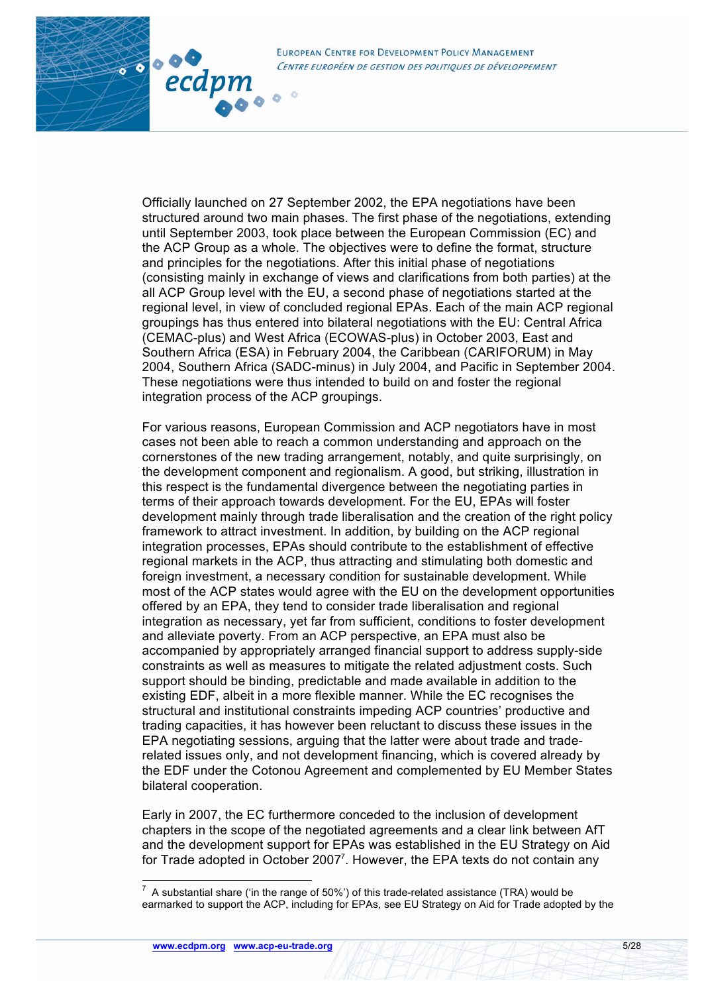

 $\frac{1}{\sqrt{2}}$  .  $\frac{1}{\sqrt{2}}$ 

ecdpm

Officially launched on 27 September 2002, the EPA negotiations have been structured around two main phases. The first phase of the negotiations, extending until September 2003, took place between the European Commission (EC) and the ACP Group as a whole. The objectives were to define the format, structure and principles for the negotiations. After this initial phase of negotiations (consisting mainly in exchange of views and clarifications from both parties) at the all ACP Group level with the EU, a second phase of negotiations started at the regional level, in view of concluded regional EPAs. Each of the main ACP regional groupings has thus entered into bilateral negotiations with the EU: Central Africa (CEMAC-plus) and West Africa (ECOWAS-plus) in October 2003, East and Southern Africa (ESA) in February 2004, the Caribbean (CARIFORUM) in May 2004, Southern Africa (SADC-minus) in July 2004, and Pacific in September 2004. These negotiations were thus intended to build on and foster the regional integration process of the ACP groupings.

For various reasons, European Commission and ACP negotiators have in most cases not been able to reach a common understanding and approach on the cornerstones of the new trading arrangement, notably, and quite surprisingly, on the development component and regionalism. A good, but striking, illustration in this respect is the fundamental divergence between the negotiating parties in terms of their approach towards development. For the EU, EPAs will foster development mainly through trade liberalisation and the creation of the right policy framework to attract investment. In addition, by building on the ACP regional integration processes, EPAs should contribute to the establishment of effective regional markets in the ACP, thus attracting and stimulating both domestic and foreign investment, a necessary condition for sustainable development. While most of the ACP states would agree with the EU on the development opportunities offered by an EPA, they tend to consider trade liberalisation and regional integration as necessary, yet far from sufficient, conditions to foster development and alleviate poverty. From an ACP perspective, an EPA must also be accompanied by appropriately arranged financial support to address supply-side constraints as well as measures to mitigate the related adjustment costs. Such support should be binding, predictable and made available in addition to the existing EDF, albeit in a more flexible manner. While the EC recognises the structural and institutional constraints impeding ACP countries' productive and trading capacities, it has however been reluctant to discuss these issues in the EPA negotiating sessions, arguing that the latter were about trade and traderelated issues only, and not development financing, which is covered already by the EDF under the Cotonou Agreement and complemented by EU Member States bilateral cooperation.

Early in 2007, the EC furthermore conceded to the inclusion of development chapters in the scope of the negotiated agreements and a clear link between AfT and the development support for EPAs was established in the EU Strategy on Aid for Trade adopted in October 2007<sup>7</sup>. However, the EPA texts do not contain any

 $\frac{1}{7}$  A substantial share ('in the range of 50%') of this trade-related assistance (TRA) would be earmarked to support the ACP, including for EPAs, see EU Strategy on Aid for Trade adopted by the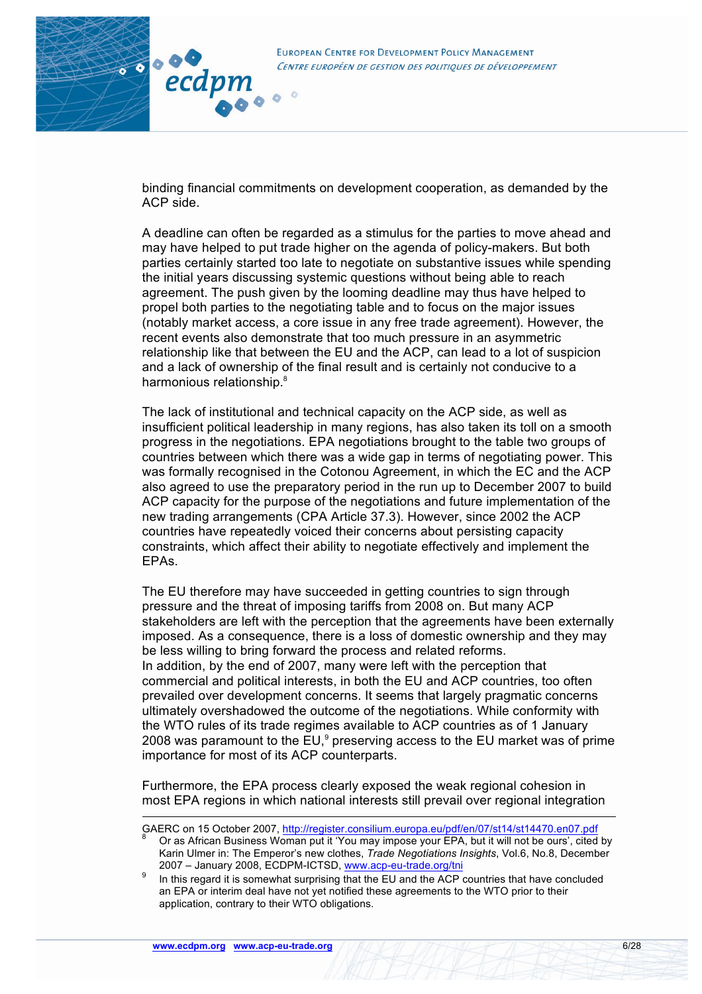

binding financial commitments on development cooperation, as demanded by the ACP side.

A deadline can often be regarded as a stimulus for the parties to move ahead and may have helped to put trade higher on the agenda of policy-makers. But both parties certainly started too late to negotiate on substantive issues while spending the initial years discussing systemic questions without being able to reach agreement. The push given by the looming deadline may thus have helped to propel both parties to the negotiating table and to focus on the major issues (notably market access, a core issue in any free trade agreement). However, the recent events also demonstrate that too much pressure in an asymmetric relationship like that between the EU and the ACP, can lead to a lot of suspicion and a lack of ownership of the final result and is certainly not conducive to a harmonious relationship.<sup>8</sup>

The lack of institutional and technical capacity on the ACP side, as well as insufficient political leadership in many regions, has also taken its toll on a smooth progress in the negotiations. EPA negotiations brought to the table two groups of countries between which there was a wide gap in terms of negotiating power. This was formally recognised in the Cotonou Agreement, in which the EC and the ACP also agreed to use the preparatory period in the run up to December 2007 to build ACP capacity for the purpose of the negotiations and future implementation of the new trading arrangements (CPA Article 37.3). However, since 2002 the ACP countries have repeatedly voiced their concerns about persisting capacity constraints, which affect their ability to negotiate effectively and implement the EPAs.

The EU therefore may have succeeded in getting countries to sign through pressure and the threat of imposing tariffs from 2008 on. But many ACP stakeholders are left with the perception that the agreements have been externally imposed. As a consequence, there is a loss of domestic ownership and they may be less willing to bring forward the process and related reforms. In addition, by the end of 2007, many were left with the perception that commercial and political interests, in both the EU and ACP countries, too often prevailed over development concerns. It seems that largely pragmatic concerns ultimately overshadowed the outcome of the negotiations. While conformity with the WTO rules of its trade regimes available to ACP countries as of 1 January 2008 was paramount to the EU, $9$  preserving access to the EU market was of prime importance for most of its ACP counterparts.

Furthermore, the EPA process clearly exposed the weak regional cohesion in most EPA regions in which national interests still prevail over regional integration

GAERC on 15 October 2007, http://register.consilium.europa.eu/pdf/en/07/st14/st14470.en07.pdf<br>8 Or as African Business Woman put it 'You may impose your EPA, but it will not be ours', cited by Karin Ulmer in: The Emperor's new clothes, *Trade Negotiations Insights*, Vol.6, No.8, December

<sup>2007 –</sup> January 2008, ECDPM-ICTSD, www.acp-eu-trade.org/tni <sup>9</sup> In this regard it is somewhat surprising that the EU and the ACP countries that have concluded an EPA or interim deal have not yet notified these agreements to the WTO prior to their application, contrary to their WTO obligations.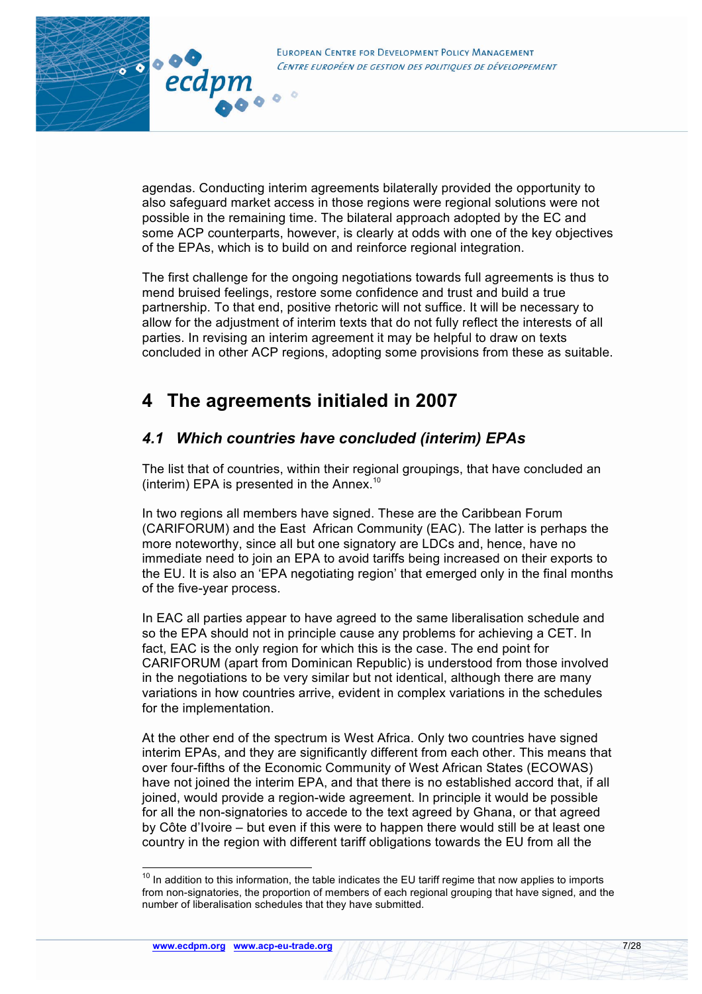

agendas. Conducting interim agreements bilaterally provided the opportunity to also safeguard market access in those regions were regional solutions were not possible in the remaining time. The bilateral approach adopted by the EC and some ACP counterparts, however, is clearly at odds with one of the key objectives of the EPAs, which is to build on and reinforce regional integration.

The first challenge for the ongoing negotiations towards full agreements is thus to mend bruised feelings, restore some confidence and trust and build a true partnership. To that end, positive rhetoric will not suffice. It will be necessary to allow for the adjustment of interim texts that do not fully reflect the interests of all parties. In revising an interim agreement it may be helpful to draw on texts concluded in other ACP regions, adopting some provisions from these as suitable.

# **4 The agreements initialed in 2007**

# *4.1 Which countries have concluded (interim) EPAs*

The list that of countries, within their regional groupings, that have concluded an (interim) EPA is presented in the Annex.<sup>10</sup>

In two regions all members have signed. These are the Caribbean Forum (CARIFORUM) and the East African Community (EAC). The latter is perhaps the more noteworthy, since all but one signatory are LDCs and, hence, have no immediate need to join an EPA to avoid tariffs being increased on their exports to the EU. It is also an 'EPA negotiating region' that emerged only in the final months of the five-year process.

In EAC all parties appear to have agreed to the same liberalisation schedule and so the EPA should not in principle cause any problems for achieving a CET. In fact, EAC is the only region for which this is the case. The end point for CARIFORUM (apart from Dominican Republic) is understood from those involved in the negotiations to be very similar but not identical, although there are many variations in how countries arrive, evident in complex variations in the schedules for the implementation.

At the other end of the spectrum is West Africa. Only two countries have signed interim EPAs, and they are significantly different from each other. This means that over four-fifths of the Economic Community of West African States (ECOWAS) have not joined the interim EPA, and that there is no established accord that, if all joined, would provide a region-wide agreement. In principle it would be possible for all the non-signatories to accede to the text agreed by Ghana, or that agreed by Côte d'Ivoire – but even if this were to happen there would still be at least one country in the region with different tariff obligations towards the EU from all the

 $10$  In addition to this information, the table indicates the EU tariff regime that now applies to imports from non-signatories, the proportion of members of each regional grouping that have signed, and the number of liberalisation schedules that they have submitted.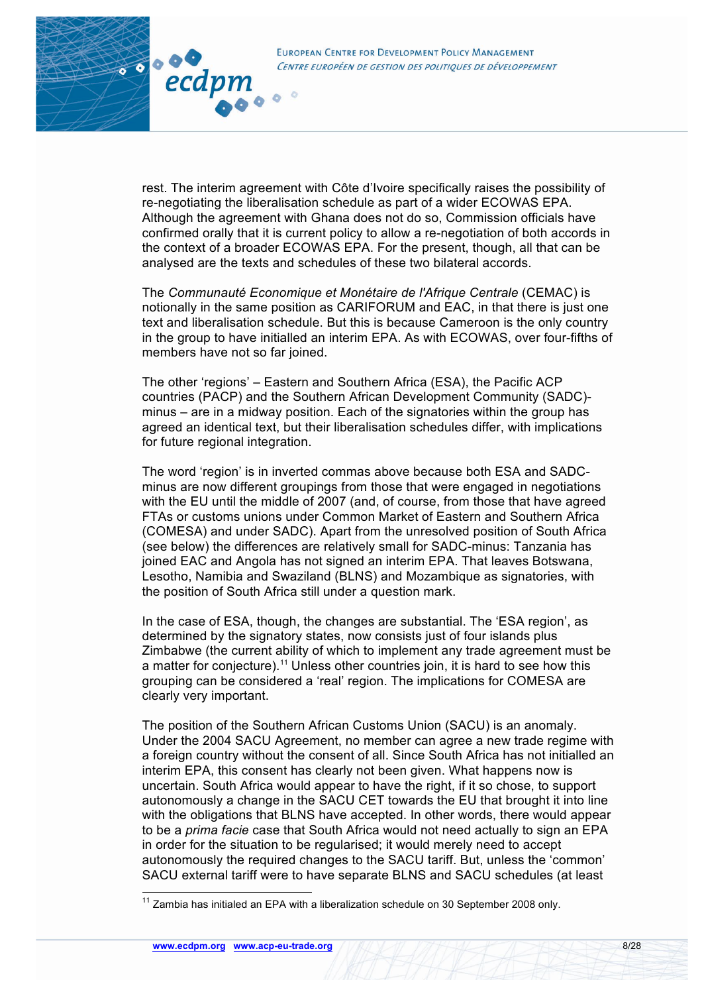

rest. The interim agreement with Côte d'Ivoire specifically raises the possibility of re-negotiating the liberalisation schedule as part of a wider ECOWAS EPA. Although the agreement with Ghana does not do so, Commission officials have confirmed orally that it is current policy to allow a re-negotiation of both accords in the context of a broader ECOWAS EPA. For the present, though, all that can be analysed are the texts and schedules of these two bilateral accords.

The *Communauté Economique et Monétaire de l'Afrique Centrale* (CEMAC) is notionally in the same position as CARIFORUM and EAC, in that there is just one text and liberalisation schedule. But this is because Cameroon is the only country in the group to have initialled an interim EPA. As with ECOWAS, over four-fifths of members have not so far joined.

The other 'regions' – Eastern and Southern Africa (ESA), the Pacific ACP countries (PACP) and the Southern African Development Community (SADC) minus – are in a midway position. Each of the signatories within the group has agreed an identical text, but their liberalisation schedules differ, with implications for future regional integration.

The word 'region' is in inverted commas above because both ESA and SADCminus are now different groupings from those that were engaged in negotiations with the EU until the middle of 2007 (and, of course, from those that have agreed FTAs or customs unions under Common Market of Eastern and Southern Africa (COMESA) and under SADC). Apart from the unresolved position of South Africa (see below) the differences are relatively small for SADC-minus: Tanzania has joined EAC and Angola has not signed an interim EPA. That leaves Botswana, Lesotho, Namibia and Swaziland (BLNS) and Mozambique as signatories, with the position of South Africa still under a question mark.

In the case of ESA, though, the changes are substantial. The 'ESA region', as determined by the signatory states, now consists just of four islands plus Zimbabwe (the current ability of which to implement any trade agreement must be a matter for conjecture).<sup>11</sup> Unless other countries join, it is hard to see how this grouping can be considered a 'real' region. The implications for COMESA are clearly very important.

The position of the Southern African Customs Union (SACU) is an anomaly. Under the 2004 SACU Agreement, no member can agree a new trade regime with a foreign country without the consent of all. Since South Africa has not initialled an interim EPA, this consent has clearly not been given. What happens now is uncertain. South Africa would appear to have the right, if it so chose, to support autonomously a change in the SACU CET towards the EU that brought it into line with the obligations that BLNS have accepted. In other words, there would appear to be a *prima facie* case that South Africa would not need actually to sign an EPA in order for the situation to be regularised; it would merely need to accept autonomously the required changes to the SACU tariff. But, unless the 'common' SACU external tariff were to have separate BLNS and SACU schedules (at least

 $11$  Zambia has initialed an EPA with a liberalization schedule on 30 September 2008 only.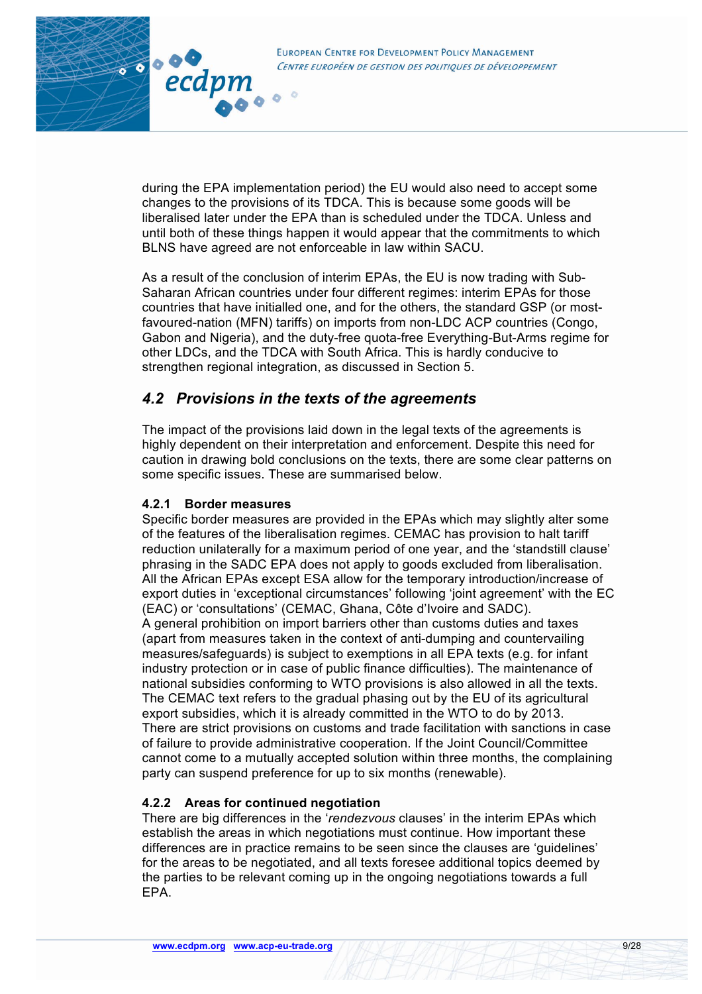

during the EPA implementation period) the EU would also need to accept some changes to the provisions of its TDCA. This is because some goods will be liberalised later under the EPA than is scheduled under the TDCA. Unless and until both of these things happen it would appear that the commitments to which BLNS have agreed are not enforceable in law within SACU.

As a result of the conclusion of interim EPAs, the EU is now trading with Sub-Saharan African countries under four different regimes: interim EPAs for those countries that have initialled one, and for the others, the standard GSP (or mostfavoured-nation (MFN) tariffs) on imports from non-LDC ACP countries (Congo, Gabon and Nigeria), and the duty-free quota-free Everything-But-Arms regime for other LDCs, and the TDCA with South Africa. This is hardly conducive to strengthen regional integration, as discussed in Section 5.

# *4.2 Provisions in the texts of the agreements*

The impact of the provisions laid down in the legal texts of the agreements is highly dependent on their interpretation and enforcement. Despite this need for caution in drawing bold conclusions on the texts, there are some clear patterns on some specific issues. These are summarised below.

### **4.2.1 Border measures**

Specific border measures are provided in the EPAs which may slightly alter some of the features of the liberalisation regimes. CEMAC has provision to halt tariff reduction unilaterally for a maximum period of one year, and the 'standstill clause' phrasing in the SADC EPA does not apply to goods excluded from liberalisation. All the African EPAs except ESA allow for the temporary introduction/increase of export duties in 'exceptional circumstances' following 'joint agreement' with the EC (EAC) or 'consultations' (CEMAC, Ghana, Côte d'Ivoire and SADC). A general prohibition on import barriers other than customs duties and taxes (apart from measures taken in the context of anti-dumping and countervailing measures/safeguards) is subject to exemptions in all EPA texts (e.g. for infant industry protection or in case of public finance difficulties). The maintenance of national subsidies conforming to WTO provisions is also allowed in all the texts. The CEMAC text refers to the gradual phasing out by the EU of its agricultural export subsidies, which it is already committed in the WTO to do by 2013. There are strict provisions on customs and trade facilitation with sanctions in case of failure to provide administrative cooperation. If the Joint Council/Committee cannot come to a mutually accepted solution within three months, the complaining party can suspend preference for up to six months (renewable).

### **4.2.2 Areas for continued negotiation**

There are big differences in the '*rendezvous* clauses' in the interim EPAs which establish the areas in which negotiations must continue. How important these differences are in practice remains to be seen since the clauses are 'guidelines' for the areas to be negotiated, and all texts foresee additional topics deemed by the parties to be relevant coming up in the ongoing negotiations towards a full EPA.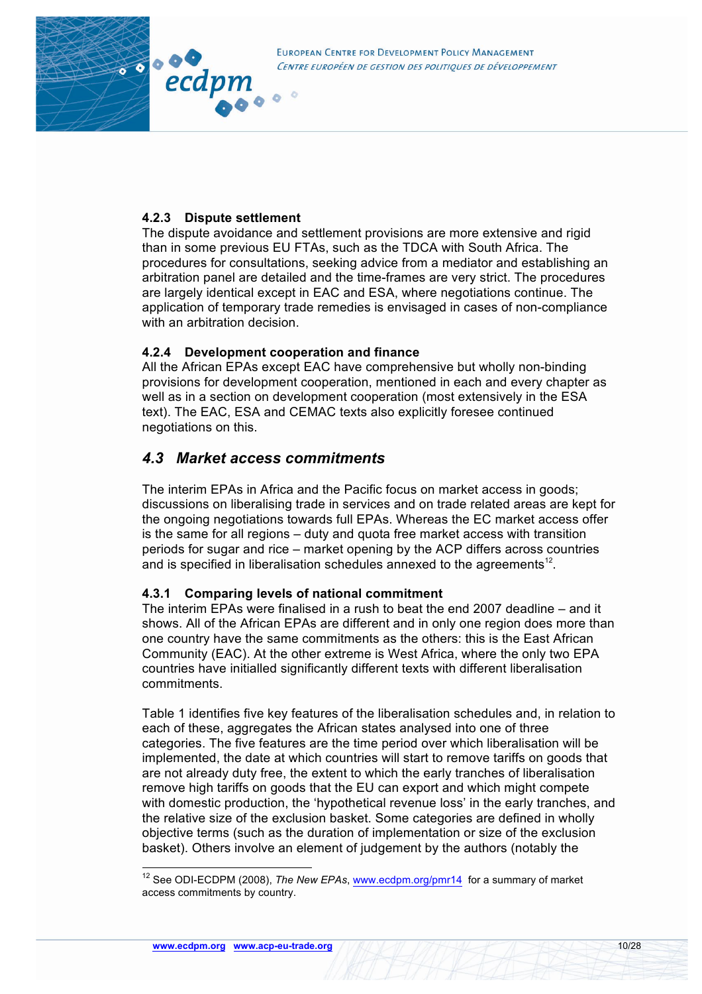

### **4.2.3 Dispute settlement**

The dispute avoidance and settlement provisions are more extensive and rigid than in some previous EU FTAs, such as the TDCA with South Africa. The procedures for consultations, seeking advice from a mediator and establishing an arbitration panel are detailed and the time-frames are very strict. The procedures are largely identical except in EAC and ESA, where negotiations continue. The application of temporary trade remedies is envisaged in cases of non-compliance with an arbitration decision

### **4.2.4 Development cooperation and finance**

 $\circ$ 

All the African EPAs except EAC have comprehensive but wholly non-binding provisions for development cooperation, mentioned in each and every chapter as well as in a section on development cooperation (most extensively in the ESA text). The EAC, ESA and CEMAC texts also explicitly foresee continued negotiations on this.

# *4.3 Market access commitments*

The interim EPAs in Africa and the Pacific focus on market access in goods; discussions on liberalising trade in services and on trade related areas are kept for the ongoing negotiations towards full EPAs. Whereas the EC market access offer is the same for all regions – duty and quota free market access with transition periods for sugar and rice – market opening by the ACP differs across countries and is specified in liberalisation schedules annexed to the agreements<sup>12</sup>.

### **4.3.1 Comparing levels of national commitment**

The interim EPAs were finalised in a rush to beat the end 2007 deadline – and it shows. All of the African EPAs are different and in only one region does more than one country have the same commitments as the others: this is the East African Community (EAC). At the other extreme is West Africa, where the only two EPA countries have initialled significantly different texts with different liberalisation commitments.

Table 1 identifies five key features of the liberalisation schedules and, in relation to each of these, aggregates the African states analysed into one of three categories. The five features are the time period over which liberalisation will be implemented, the date at which countries will start to remove tariffs on goods that are not already duty free, the extent to which the early tranches of liberalisation remove high tariffs on goods that the EU can export and which might compete with domestic production, the 'hypothetical revenue loss' in the early tranches, and the relative size of the exclusion basket. Some categories are defined in wholly objective terms (such as the duration of implementation or size of the exclusion basket). Others involve an element of judgement by the authors (notably the

<sup>&</sup>lt;sup>12</sup> See ODI-ECDPM (2008), *The New EPAs*, www.ecdpm.org/pmr14 for a summary of market access commitments by country.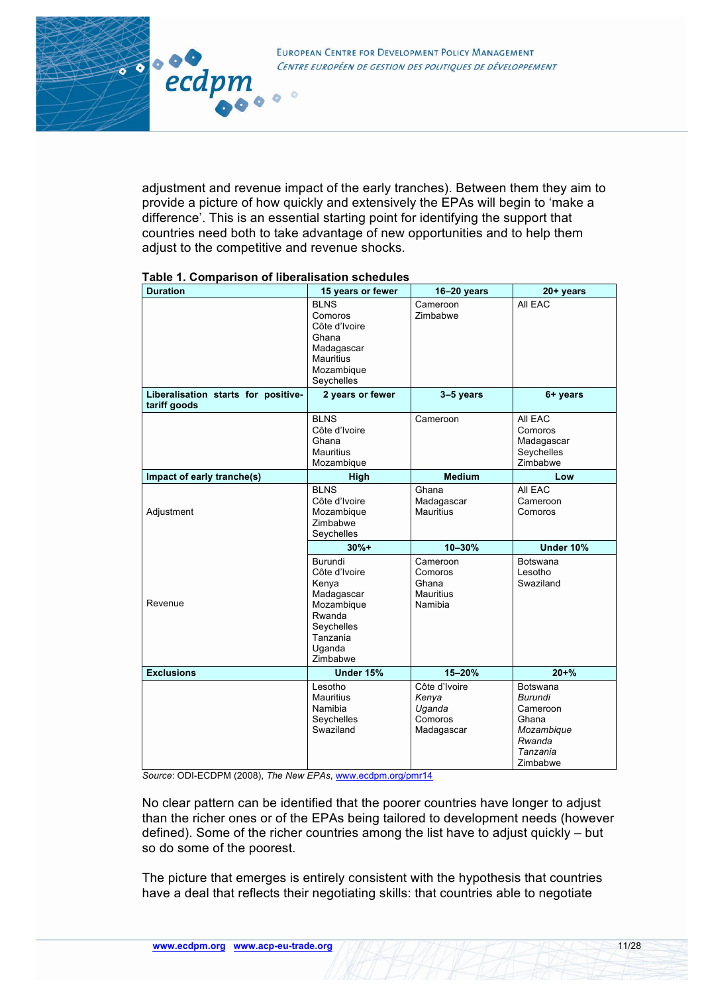adjustment and revenue impact of the early tranches). Between them they aim to provide a picture of how quickly and extensively the EPAs will begin to 'make a difference'. This is an essential starting point for identifying the support that countries need both to take advantage of new opportunities and to help them adjust to the competitive and revenue shocks.

|  | Table 1. Comparison of liberalisation schedules |
|--|-------------------------------------------------|
|  |                                                 |

 $\circ$ 

 $10000$ 

ecdpm

| <b>Duration</b>                                     | 15 years or fewer                                                                                                       | 16-20 years                                                 | 20+ years                                                                                       |
|-----------------------------------------------------|-------------------------------------------------------------------------------------------------------------------------|-------------------------------------------------------------|-------------------------------------------------------------------------------------------------|
|                                                     | <b>BLNS</b><br>Comoros<br>Côte d'Ivoire<br>Ghana<br>Madagascar<br><b>Mauritius</b><br>Mozambique<br>Seychelles          | Cameroon<br>Zimbabwe                                        | All EAC                                                                                         |
| Liberalisation starts for positive-<br>tariff goods | 2 years or fewer                                                                                                        | 3-5 years                                                   | 6+ years                                                                                        |
|                                                     | <b>BLNS</b><br>Côte d'Ivoire<br>Ghana<br><b>Mauritius</b><br>Mozambique                                                 | Cameroon                                                    | All EAC<br>Comoros<br>Madagascar<br>Seychelles<br>Zimbabwe                                      |
| Impact of early tranche(s)                          | High                                                                                                                    | <b>Medium</b>                                               | Low                                                                                             |
| Adjustment                                          | <b>BLNS</b><br>Côte d'Ivoire<br>Mozambique<br>Zimbabwe<br>Seychelles                                                    | Ghana<br>Madagascar<br><b>Mauritius</b>                     | All EAC<br>Cameroon<br>Comoros                                                                  |
|                                                     | $30%+$                                                                                                                  | 10-30%                                                      | Under 10%                                                                                       |
| Revenue                                             | Burundi<br>Côte d'Ivoire<br>Kenya<br>Madagascar<br>Mozambique<br>Rwanda<br>Seychelles<br>Tanzania<br>Uganda<br>Zimbabwe | Cameroon<br>Comoros<br>Ghana<br><b>Mauritius</b><br>Namibia | <b>Botswana</b><br>Lesotho<br>Swaziland                                                         |
| <b>Exclusions</b>                                   | Under 15%                                                                                                               | $15 - 20%$                                                  | $20 + \%$                                                                                       |
|                                                     | Lesotho<br><b>Mauritius</b><br>Namibia<br>Seychelles<br>Swaziland                                                       | Côte d'Ivoire<br>Kenya<br>Uganda<br>Comoros<br>Madagascar   | <b>Botswana</b><br>Burundi<br>Cameroon<br>Ghana<br>Mozambique<br>Rwanda<br>Tanzania<br>Zimbabwe |

*Source*: ODI-ECDPM (2008), *The New EPAs*, www.ecdpm.org/pmr14

No clear pattern can be identified that the poorer countries have longer to adjust than the richer ones or of the EPAs being tailored to development needs (however defined). Some of the richer countries among the list have to adjust quickly – but so do some of the poorest.

The picture that emerges is entirely consistent with the hypothesis that countries have a deal that reflects their negotiating skills: that countries able to negotiate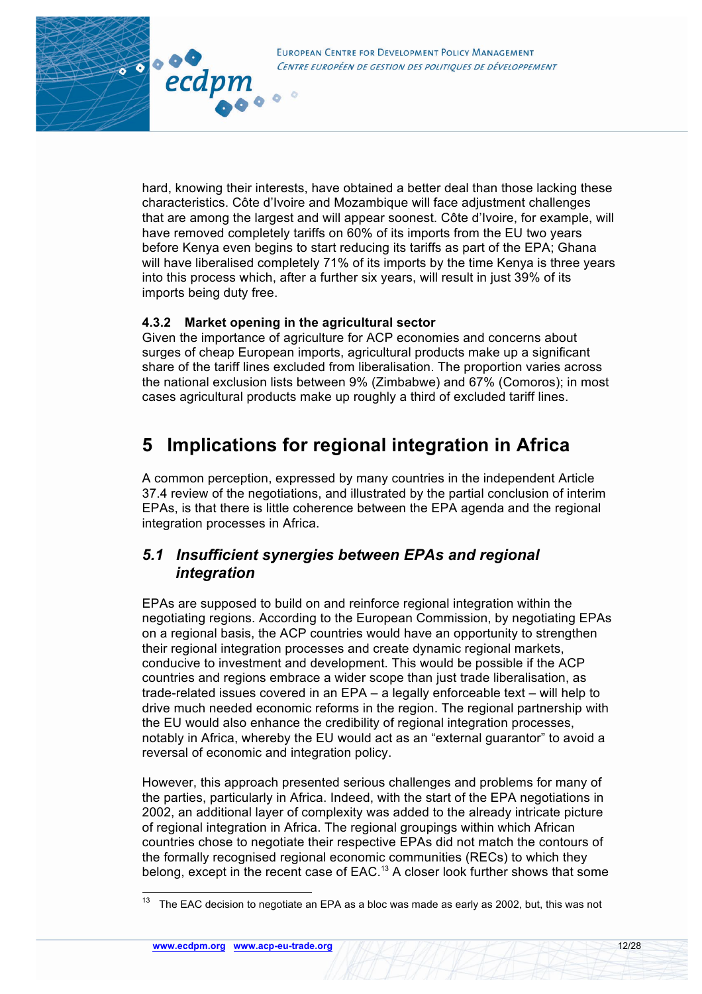**EUROPEAN CENTRE FOR DEVELOPMENT POLICY MANAGEMENT** CENTRE EUROPÉEN DE GESTION DES POLITIOUES DE DÉVELOPPEMENT

hard, knowing their interests, have obtained a better deal than those lacking these characteristics. Côte d'Ivoire and Mozambique will face adjustment challenges that are among the largest and will appear soonest. Côte d'Ivoire, for example, will

have removed completely tariffs on 60% of its imports from the EU two years before Kenya even begins to start reducing its tariffs as part of the EPA; Ghana will have liberalised completely 71% of its imports by the time Kenya is three years into this process which, after a further six years, will result in just 39% of its imports being duty free.

### **4.3.2 Market opening in the agricultural sector**

ecdpn

Given the importance of agriculture for ACP economies and concerns about surges of cheap European imports, agricultural products make up a significant share of the tariff lines excluded from liberalisation. The proportion varies across the national exclusion lists between 9% (Zimbabwe) and 67% (Comoros); in most cases agricultural products make up roughly a third of excluded tariff lines.

# **5 Implications for regional integration in Africa**

A common perception, expressed by many countries in the independent Article 37.4 review of the negotiations, and illustrated by the partial conclusion of interim EPAs, is that there is little coherence between the EPA agenda and the regional integration processes in Africa.

# *5.1 Insufficient synergies between EPAs and regional integration*

EPAs are supposed to build on and reinforce regional integration within the negotiating regions. According to the European Commission, by negotiating EPAs on a regional basis, the ACP countries would have an opportunity to strengthen their regional integration processes and create dynamic regional markets, conducive to investment and development. This would be possible if the ACP countries and regions embrace a wider scope than just trade liberalisation, as trade-related issues covered in an EPA – a legally enforceable text – will help to drive much needed economic reforms in the region. The regional partnership with the EU would also enhance the credibility of regional integration processes, notably in Africa, whereby the EU would act as an "external guarantor" to avoid a reversal of economic and integration policy.

However, this approach presented serious challenges and problems for many of the parties, particularly in Africa. Indeed, with the start of the EPA negotiations in 2002, an additional layer of complexity was added to the already intricate picture of regional integration in Africa. The regional groupings within which African countries chose to negotiate their respective EPAs did not match the contours of the formally recognised regional economic communities (RECs) to which they belong, except in the recent case of EAC.<sup>13</sup> A closer look further shows that some

The EAC decision to negotiate an EPA as a bloc was made as early as 2002, but, this was not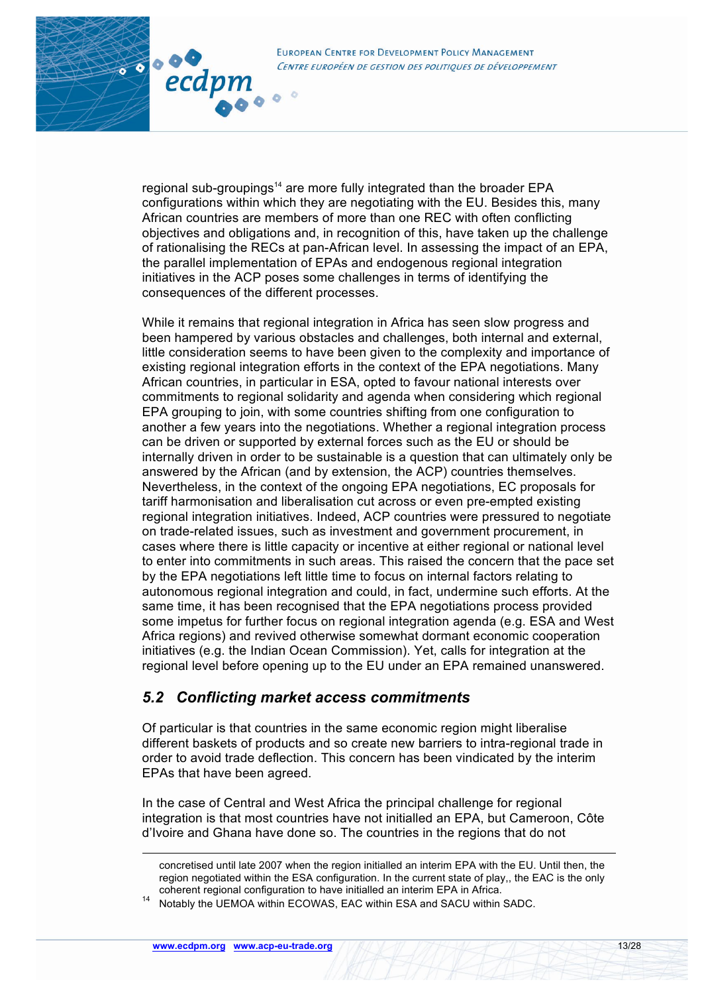

regional sub-groupings<sup>14</sup> are more fully integrated than the broader EPA configurations within which they are negotiating with the EU. Besides this, many African countries are members of more than one REC with often conflicting objectives and obligations and, in recognition of this, have taken up the challenge of rationalising the RECs at pan-African level. In assessing the impact of an EPA, the parallel implementation of EPAs and endogenous regional integration initiatives in the ACP poses some challenges in terms of identifying the consequences of the different processes.

While it remains that regional integration in Africa has seen slow progress and been hampered by various obstacles and challenges, both internal and external, little consideration seems to have been given to the complexity and importance of existing regional integration efforts in the context of the EPA negotiations. Many African countries, in particular in ESA, opted to favour national interests over commitments to regional solidarity and agenda when considering which regional EPA grouping to join, with some countries shifting from one configuration to another a few years into the negotiations. Whether a regional integration process can be driven or supported by external forces such as the EU or should be internally driven in order to be sustainable is a question that can ultimately only be answered by the African (and by extension, the ACP) countries themselves. Nevertheless, in the context of the ongoing EPA negotiations, EC proposals for tariff harmonisation and liberalisation cut across or even pre-empted existing regional integration initiatives. Indeed, ACP countries were pressured to negotiate on trade-related issues, such as investment and government procurement, in cases where there is little capacity or incentive at either regional or national level to enter into commitments in such areas. This raised the concern that the pace set by the EPA negotiations left little time to focus on internal factors relating to autonomous regional integration and could, in fact, undermine such efforts. At the same time, it has been recognised that the EPA negotiations process provided some impetus for further focus on regional integration agenda (e.g. ESA and West Africa regions) and revived otherwise somewhat dormant economic cooperation initiatives (e.g. the Indian Ocean Commission). Yet, calls for integration at the regional level before opening up to the EU under an EPA remained unanswered.

# *5.2 Conflicting market access commitments*

Of particular is that countries in the same economic region might liberalise different baskets of products and so create new barriers to intra-regional trade in order to avoid trade deflection. This concern has been vindicated by the interim EPAs that have been agreed.

In the case of Central and West Africa the principal challenge for regional integration is that most countries have not initialled an EPA, but Cameroon, Côte d'Ivoire and Ghana have done so. The countries in the regions that do not

80000

ecdpm

concretised until late 2007 when the region initialled an interim EPA with the EU. Until then, the region negotiated within the ESA configuration. In the current state of play,, the EAC is the only coherent regional configuration to have initialled an interim EPA in Africa.

<sup>14</sup> Notably the UEMOA within ECOWAS, EAC within ESA and SACU within SADC.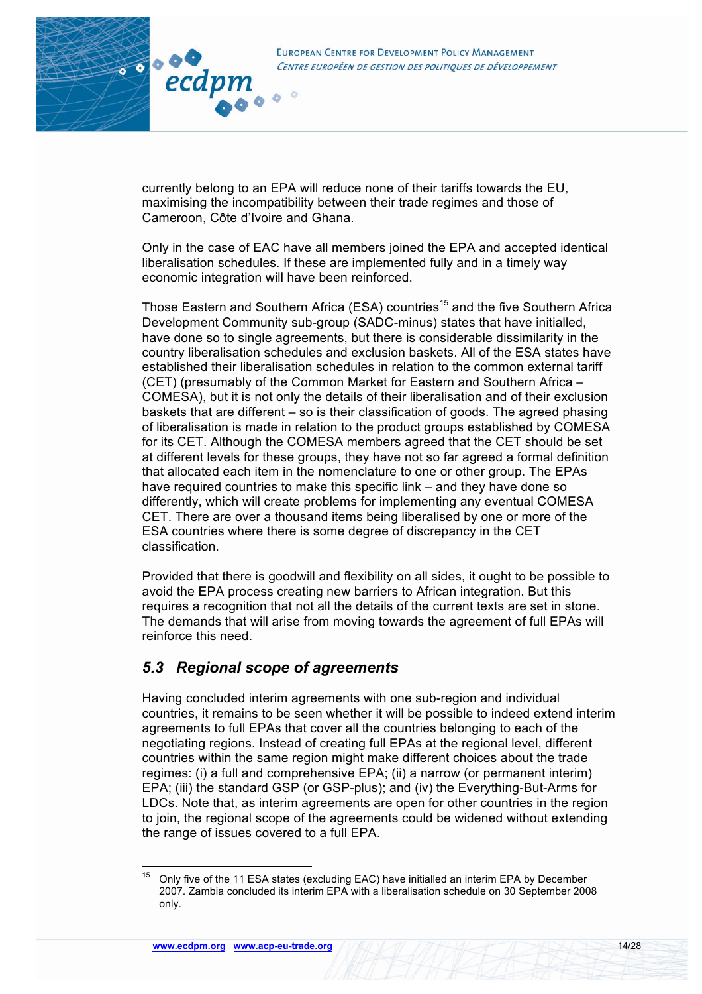

currently belong to an EPA will reduce none of their tariffs towards the EU, maximising the incompatibility between their trade regimes and those of

Cameroon, Côte d'Ivoire and Ghana.

30000

ecdpm

Only in the case of EAC have all members joined the EPA and accepted identical liberalisation schedules. If these are implemented fully and in a timely way economic integration will have been reinforced.

Those Eastern and Southern Africa (ESA) countries<sup>15</sup> and the five Southern Africa Development Community sub-group (SADC-minus) states that have initialled, have done so to single agreements, but there is considerable dissimilarity in the country liberalisation schedules and exclusion baskets. All of the ESA states have established their liberalisation schedules in relation to the common external tariff (CET) (presumably of the Common Market for Eastern and Southern Africa – COMESA), but it is not only the details of their liberalisation and of their exclusion baskets that are different – so is their classification of goods. The agreed phasing of liberalisation is made in relation to the product groups established by COMESA for its CET. Although the COMESA members agreed that the CET should be set at different levels for these groups, they have not so far agreed a formal definition that allocated each item in the nomenclature to one or other group. The EPAs have required countries to make this specific link – and they have done so differently, which will create problems for implementing any eventual COMESA CET. There are over a thousand items being liberalised by one or more of the ESA countries where there is some degree of discrepancy in the CET classification.

Provided that there is goodwill and flexibility on all sides, it ought to be possible to avoid the EPA process creating new barriers to African integration. But this requires a recognition that not all the details of the current texts are set in stone. The demands that will arise from moving towards the agreement of full EPAs will reinforce this need.

# *5.3 Regional scope of agreements*

Having concluded interim agreements with one sub-region and individual countries, it remains to be seen whether it will be possible to indeed extend interim agreements to full EPAs that cover all the countries belonging to each of the negotiating regions. Instead of creating full EPAs at the regional level, different countries within the same region might make different choices about the trade regimes: (i) a full and comprehensive EPA; (ii) a narrow (or permanent interim) EPA; (iii) the standard GSP (or GSP-plus); and (iv) the Everything-But-Arms for LDCs. Note that, as interim agreements are open for other countries in the region to join, the regional scope of the agreements could be widened without extending the range of issues covered to a full EPA.

 $15$  Only five of the 11 ESA states (excluding EAC) have initialled an interim EPA by December 2007. Zambia concluded its interim EPA with a liberalisation schedule on 30 September 2008 only.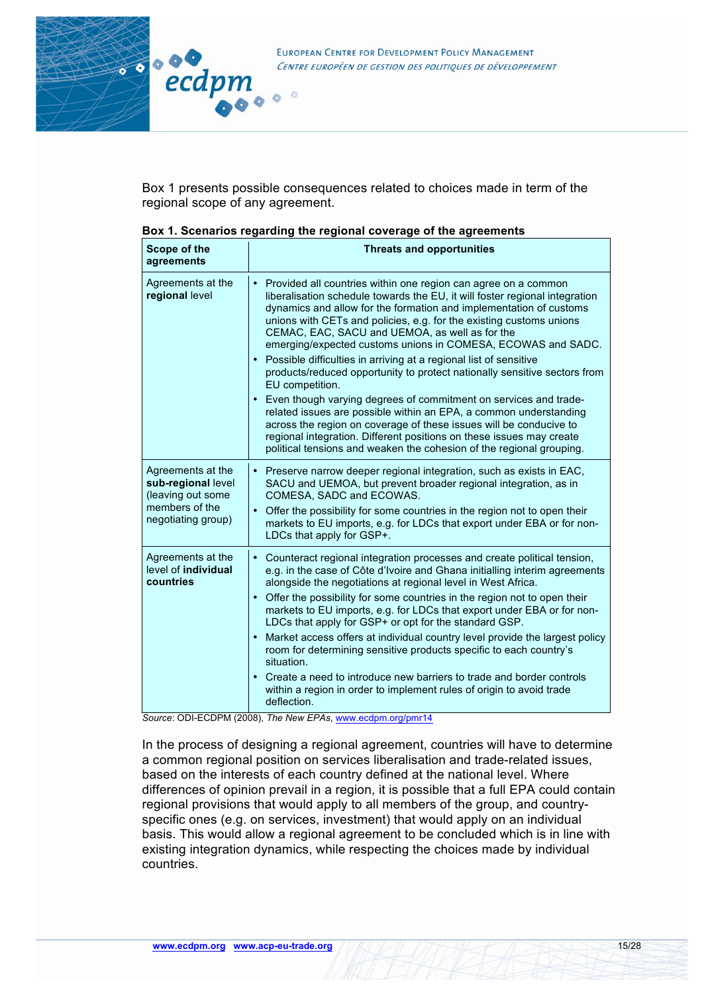

Box 1 presents possible consequences related to choices made in term of the regional scope of any agreement.

| Scope of the<br>agreements                                                                           | sox 1. Occhanos regaranty and regional coverage or and agreements<br><b>Threats and opportunities</b>                                                                                                                                                                                                                                                                                                                                                                                                                                                                                                                                                                                                                                                                                                                                                                                                                                                         |
|------------------------------------------------------------------------------------------------------|---------------------------------------------------------------------------------------------------------------------------------------------------------------------------------------------------------------------------------------------------------------------------------------------------------------------------------------------------------------------------------------------------------------------------------------------------------------------------------------------------------------------------------------------------------------------------------------------------------------------------------------------------------------------------------------------------------------------------------------------------------------------------------------------------------------------------------------------------------------------------------------------------------------------------------------------------------------|
| Agreements at the<br>regional level                                                                  | $\bullet$<br>Provided all countries within one region can agree on a common<br>liberalisation schedule towards the EU, it will foster regional integration<br>dynamics and allow for the formation and implementation of customs<br>unions with CETs and policies, e.g. for the existing customs unions<br>CEMAC, EAC, SACU and UEMOA, as well as for the<br>emerging/expected customs unions in COMESA, ECOWAS and SADC.<br>Possible difficulties in arriving at a regional list of sensitive<br>products/reduced opportunity to protect nationally sensitive sectors from<br>EU competition.<br>Even though varying degrees of commitment on services and trade-<br>related issues are possible within an EPA, a common understanding<br>across the region on coverage of these issues will be conducive to<br>regional integration. Different positions on these issues may create<br>political tensions and weaken the cohesion of the regional grouping. |
| Agreements at the<br>sub-regional level<br>(leaving out some<br>members of the<br>negotiating group) | • Preserve narrow deeper regional integration, such as exists in EAC,<br>SACU and UEMOA, but prevent broader regional integration, as in<br>COMESA, SADC and ECOWAS.<br>Offer the possibility for some countries in the region not to open their<br>markets to EU imports, e.g. for LDCs that export under EBA or for non-<br>LDCs that apply for GSP+.                                                                                                                                                                                                                                                                                                                                                                                                                                                                                                                                                                                                       |
| Agreements at the<br>level of individual<br>countries                                                | Counteract regional integration processes and create political tension,<br>e.g. in the case of Côte d'Ivoire and Ghana initialling interim agreements<br>alongside the negotiations at regional level in West Africa.<br>Offer the possibility for some countries in the region not to open their<br>$\bullet$<br>markets to EU imports, e.g. for LDCs that export under EBA or for non-<br>LDCs that apply for GSP+ or opt for the standard GSP.<br>Market access offers at individual country level provide the largest policy<br>$\bullet$<br>room for determining sensitive products specific to each country's<br>situation.<br>Create a need to introduce new barriers to trade and border controls<br>within a region in order to implement rules of origin to avoid trade<br>deflection.<br>$TL - M - L$                                                                                                                                              |

| Box 1. Scenarios regarding the regional coverage of the agreements |  |
|--------------------------------------------------------------------|--|
|--------------------------------------------------------------------|--|

 $\circ$ 

*Source*: ODI-ECDPM (2008), *The New EPAs*, www.ecdpm.org/pmr14

In the process of designing a regional agreement, countries will have to determine a common regional position on services liberalisation and trade-related issues, based on the interests of each country defined at the national level. Where differences of opinion prevail in a region, it is possible that a full EPA could contain regional provisions that would apply to all members of the group, and countryspecific ones (e.g. on services, investment) that would apply on an individual basis. This would allow a regional agreement to be concluded which is in line with existing integration dynamics, while respecting the choices made by individual countries.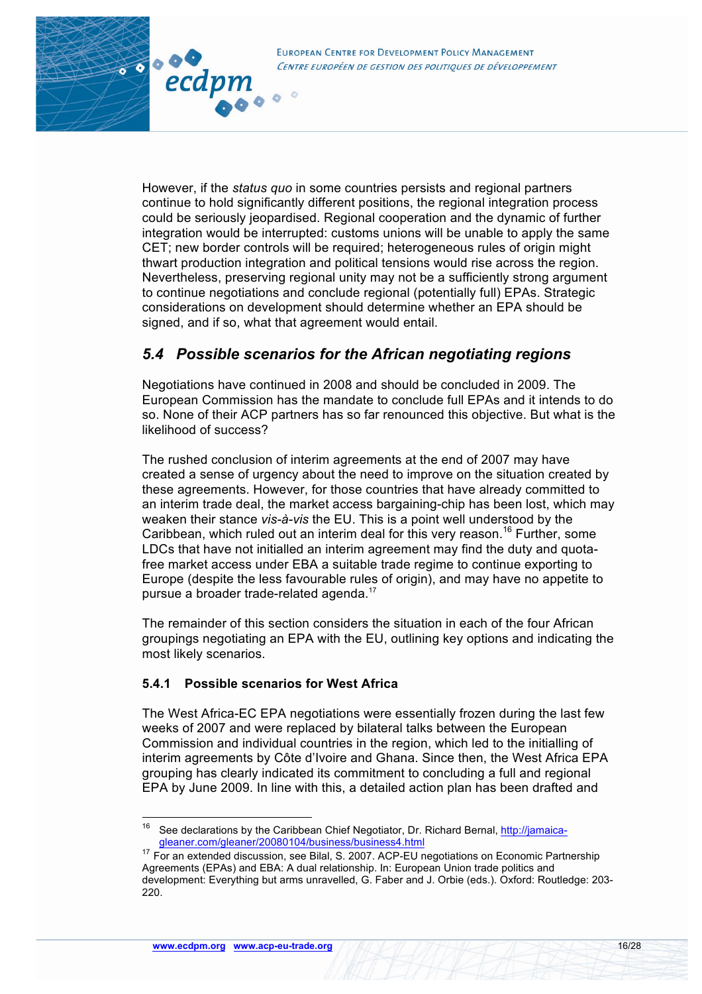

However, if the *status quo* in some countries persists and regional partners continue to hold significantly different positions, the regional integration process could be seriously jeopardised. Regional cooperation and the dynamic of further integration would be interrupted: customs unions will be unable to apply the same CET; new border controls will be required; heterogeneous rules of origin might thwart production integration and political tensions would rise across the region. Nevertheless, preserving regional unity may not be a sufficiently strong argument to continue negotiations and conclude regional (potentially full) EPAs. Strategic considerations on development should determine whether an EPA should be signed, and if so, what that agreement would entail.

## *5.4 Possible scenarios for the African negotiating regions*

Negotiations have continued in 2008 and should be concluded in 2009. The European Commission has the mandate to conclude full EPAs and it intends to do so. None of their ACP partners has so far renounced this objective. But what is the likelihood of success?

The rushed conclusion of interim agreements at the end of 2007 may have created a sense of urgency about the need to improve on the situation created by these agreements. However, for those countries that have already committed to an interim trade deal, the market access bargaining-chip has been lost, which may weaken their stance *vis-à-vis* the EU. This is a point well understood by the Caribbean, which ruled out an interim deal for this very reason.<sup>16</sup> Further, some LDCs that have not initialled an interim agreement may find the duty and quotafree market access under EBA a suitable trade regime to continue exporting to Europe (despite the less favourable rules of origin), and may have no appetite to pursue a broader trade-related agenda.17

The remainder of this section considers the situation in each of the four African groupings negotiating an EPA with the EU, outlining key options and indicating the most likely scenarios.

#### **5.4.1 Possible scenarios for West Africa**

80000

ecdpm

The West Africa-EC EPA negotiations were essentially frozen during the last few weeks of 2007 and were replaced by bilateral talks between the European Commission and individual countries in the region, which led to the initialling of interim agreements by Côte d'Ivoire and Ghana. Since then, the West Africa EPA grouping has clearly indicated its commitment to concluding a full and regional EPA by June 2009. In line with this, a detailed action plan has been drafted and

<sup>&</sup>lt;sup>16</sup> See declarations by the Caribbean Chief Negotiator, Dr. Richard Bernal, http://jamaicagleaner.com/gleaner/20080104/business/business4.html

 $17$  For an extended discussion, see Bilal, S. 2007. ACP-EU negotiations on Economic Partnership Agreements (EPAs) and EBA: A dual relationship. In: European Union trade politics and development: Everything but arms unravelled, G. Faber and J. Orbie (eds.). Oxford: Routledge: 203- 220.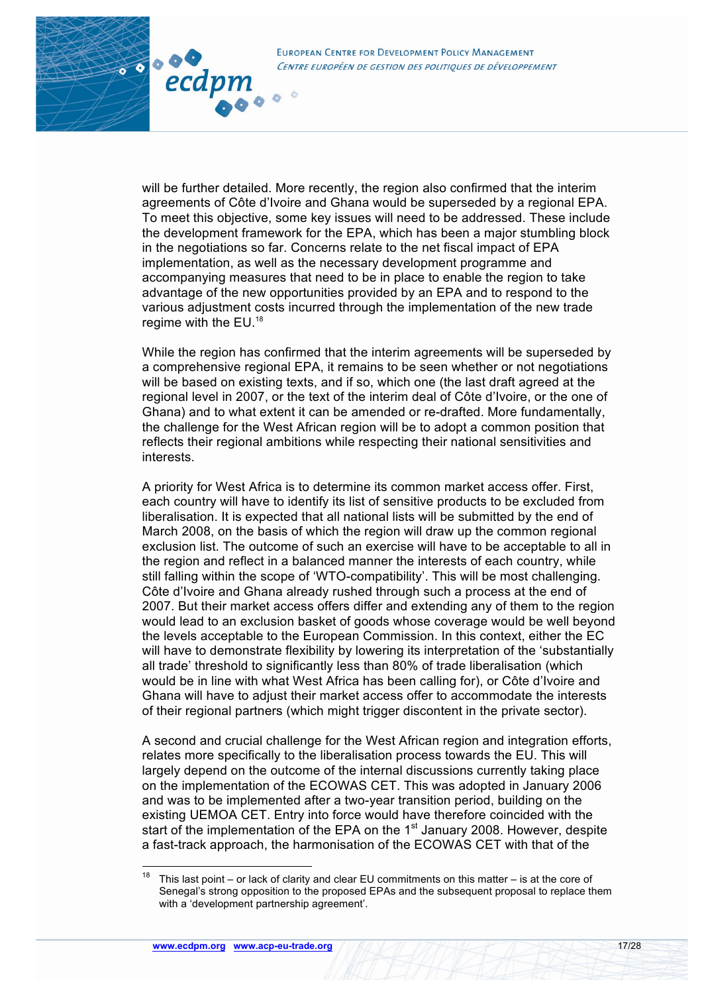3000

ecdpm

will be further detailed. More recently, the region also confirmed that the interim agreements of Côte d'Ivoire and Ghana would be superseded by a regional EPA. To meet this objective, some key issues will need to be addressed. These include the development framework for the EPA, which has been a major stumbling block in the negotiations so far. Concerns relate to the net fiscal impact of EPA implementation, as well as the necessary development programme and accompanying measures that need to be in place to enable the region to take advantage of the new opportunities provided by an EPA and to respond to the various adjustment costs incurred through the implementation of the new trade regime with the EU.<sup>18</sup>

While the region has confirmed that the interim agreements will be superseded by a comprehensive regional EPA, it remains to be seen whether or not negotiations will be based on existing texts, and if so, which one (the last draft agreed at the regional level in 2007, or the text of the interim deal of Côte d'Ivoire, or the one of Ghana) and to what extent it can be amended or re-drafted. More fundamentally, the challenge for the West African region will be to adopt a common position that reflects their regional ambitions while respecting their national sensitivities and interests.

A priority for West Africa is to determine its common market access offer. First, each country will have to identify its list of sensitive products to be excluded from liberalisation. It is expected that all national lists will be submitted by the end of March 2008, on the basis of which the region will draw up the common regional exclusion list. The outcome of such an exercise will have to be acceptable to all in the region and reflect in a balanced manner the interests of each country, while still falling within the scope of 'WTO-compatibility'. This will be most challenging. Côte d'Ivoire and Ghana already rushed through such a process at the end of 2007. But their market access offers differ and extending any of them to the region would lead to an exclusion basket of goods whose coverage would be well beyond the levels acceptable to the European Commission. In this context, either the EC will have to demonstrate flexibility by lowering its interpretation of the 'substantially all trade' threshold to significantly less than 80% of trade liberalisation (which would be in line with what West Africa has been calling for), or Côte d'Ivoire and Ghana will have to adjust their market access offer to accommodate the interests of their regional partners (which might trigger discontent in the private sector).

A second and crucial challenge for the West African region and integration efforts, relates more specifically to the liberalisation process towards the EU. This will largely depend on the outcome of the internal discussions currently taking place on the implementation of the ECOWAS CET. This was adopted in January 2006 and was to be implemented after a two-year transition period, building on the existing UEMOA CET. Entry into force would have therefore coincided with the start of the implementation of the EPA on the  $1<sup>st</sup>$  January 2008. However, despite a fast-track approach, the harmonisation of the ECOWAS CET with that of the

<sup>&</sup>lt;sup>18</sup> This last point – or lack of clarity and clear EU commitments on this matter – is at the core of Senegal's strong opposition to the proposed EPAs and the subsequent proposal to replace them with a 'development partnership agreement'.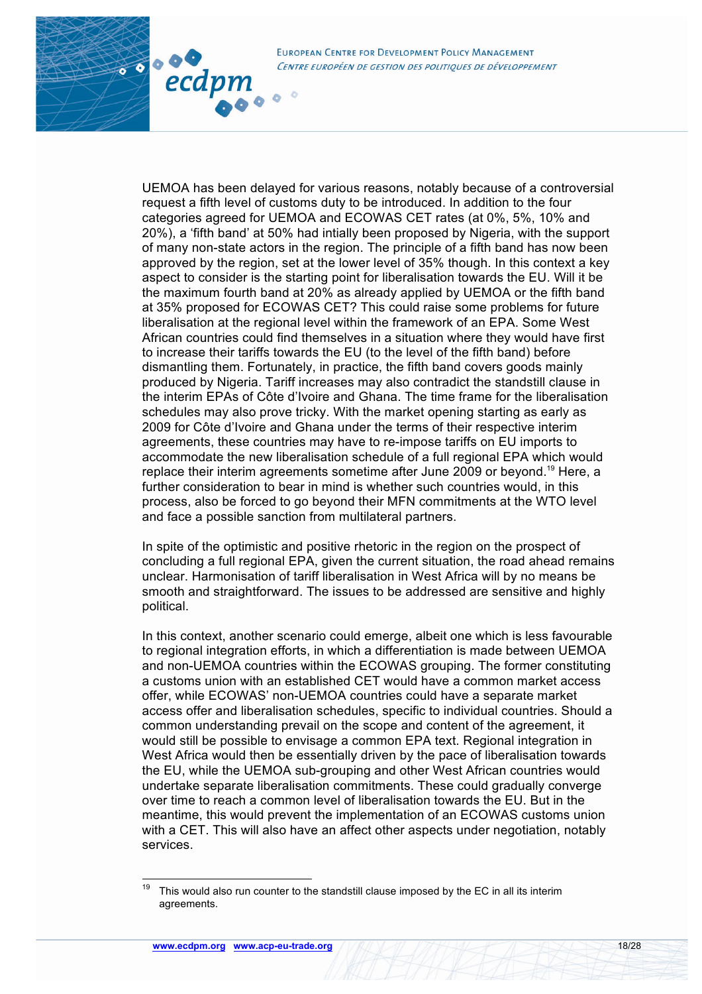

80000

ecdpm

UEMOA has been delayed for various reasons, notably because of a controversial request a fifth level of customs duty to be introduced. In addition to the four categories agreed for UEMOA and ECOWAS CET rates (at 0%, 5%, 10% and 20%), a 'fifth band' at 50% had intially been proposed by Nigeria, with the support of many non-state actors in the region. The principle of a fifth band has now been approved by the region, set at the lower level of 35% though. In this context a key aspect to consider is the starting point for liberalisation towards the EU. Will it be the maximum fourth band at 20% as already applied by UEMOA or the fifth band at 35% proposed for ECOWAS CET? This could raise some problems for future liberalisation at the regional level within the framework of an EPA. Some West African countries could find themselves in a situation where they would have first to increase their tariffs towards the EU (to the level of the fifth band) before dismantling them. Fortunately, in practice, the fifth band covers goods mainly produced by Nigeria. Tariff increases may also contradict the standstill clause in the interim EPAs of Côte d'Ivoire and Ghana. The time frame for the liberalisation schedules may also prove tricky. With the market opening starting as early as 2009 for Côte d'Ivoire and Ghana under the terms of their respective interim agreements, these countries may have to re-impose tariffs on EU imports to accommodate the new liberalisation schedule of a full regional EPA which would replace their interim agreements sometime after June 2009 or beyond.<sup>19</sup> Here, a further consideration to bear in mind is whether such countries would, in this process, also be forced to go beyond their MFN commitments at the WTO level and face a possible sanction from multilateral partners.

In spite of the optimistic and positive rhetoric in the region on the prospect of concluding a full regional EPA, given the current situation, the road ahead remains unclear. Harmonisation of tariff liberalisation in West Africa will by no means be smooth and straightforward. The issues to be addressed are sensitive and highly political.

In this context, another scenario could emerge, albeit one which is less favourable to regional integration efforts, in which a differentiation is made between UEMOA and non-UEMOA countries within the ECOWAS grouping. The former constituting a customs union with an established CET would have a common market access offer, while ECOWAS' non-UEMOA countries could have a separate market access offer and liberalisation schedules, specific to individual countries. Should a common understanding prevail on the scope and content of the agreement, it would still be possible to envisage a common EPA text. Regional integration in West Africa would then be essentially driven by the pace of liberalisation towards the EU, while the UEMOA sub-grouping and other West African countries would undertake separate liberalisation commitments. These could gradually converge over time to reach a common level of liberalisation towards the EU. But in the meantime, this would prevent the implementation of an ECOWAS customs union with a CET. This will also have an affect other aspects under negotiation, notably services.

 $19$  This would also run counter to the standstill clause imposed by the EC in all its interim agreements.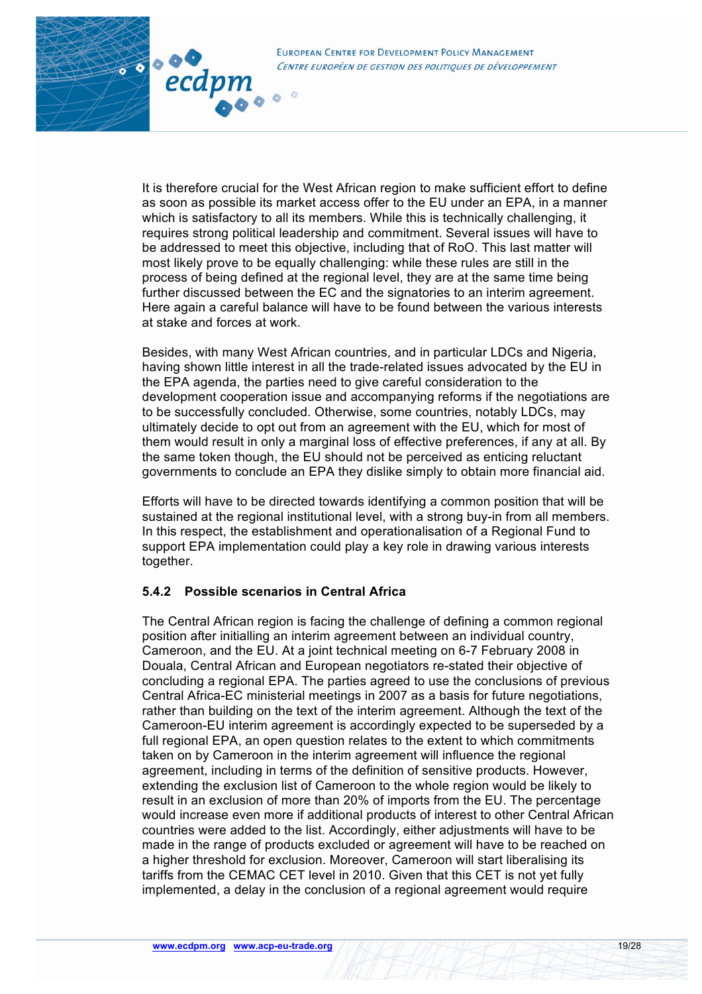

It is therefore crucial for the West African region to make sufficient effort to define as soon as possible its market access offer to the EU under an EPA, in a manner which is satisfactory to all its members. While this is technically challenging, it requires strong political leadership and commitment. Several issues will have to be addressed to meet this objective, including that of RoO. This last matter will most likely prove to be equally challenging: while these rules are still in the process of being defined at the regional level, they are at the same time being further discussed between the EC and the signatories to an interim agreement. Here again a careful balance will have to be found between the various interests at stake and forces at work.

Besides, with many West African countries, and in particular LDCs and Nigeria, having shown little interest in all the trade-related issues advocated by the EU in the EPA agenda, the parties need to give careful consideration to the development cooperation issue and accompanying reforms if the negotiations are to be successfully concluded. Otherwise, some countries, notably LDCs, may ultimately decide to opt out from an agreement with the EU, which for most of them would result in only a marginal loss of effective preferences, if any at all. By the same token though, the EU should not be perceived as enticing reluctant governments to conclude an EPA they dislike simply to obtain more financial aid.

Efforts will have to be directed towards identifying a common position that will be sustained at the regional institutional level, with a strong buy-in from all members. In this respect, the establishment and operationalisation of a Regional Fund to support EPA implementation could play a key role in drawing various interests together.

#### **5.4.2 Possible scenarios in Central Africa**

80000

ecdpm

The Central African region is facing the challenge of defining a common regional position after initialling an interim agreement between an individual country, Cameroon, and the EU. At a joint technical meeting on 6-7 February 2008 in Douala, Central African and European negotiators re-stated their objective of concluding a regional EPA. The parties agreed to use the conclusions of previous Central Africa-EC ministerial meetings in 2007 as a basis for future negotiations, rather than building on the text of the interim agreement. Although the text of the Cameroon-EU interim agreement is accordingly expected to be superseded by a full regional EPA, an open question relates to the extent to which commitments taken on by Cameroon in the interim agreement will influence the regional agreement, including in terms of the definition of sensitive products. However, extending the exclusion list of Cameroon to the whole region would be likely to result in an exclusion of more than 20% of imports from the EU. The percentage would increase even more if additional products of interest to other Central African countries were added to the list. Accordingly, either adjustments will have to be made in the range of products excluded or agreement will have to be reached on a higher threshold for exclusion. Moreover, Cameroon will start liberalising its tariffs from the CEMAC CET level in 2010. Given that this CET is not yet fully implemented, a delay in the conclusion of a regional agreement would require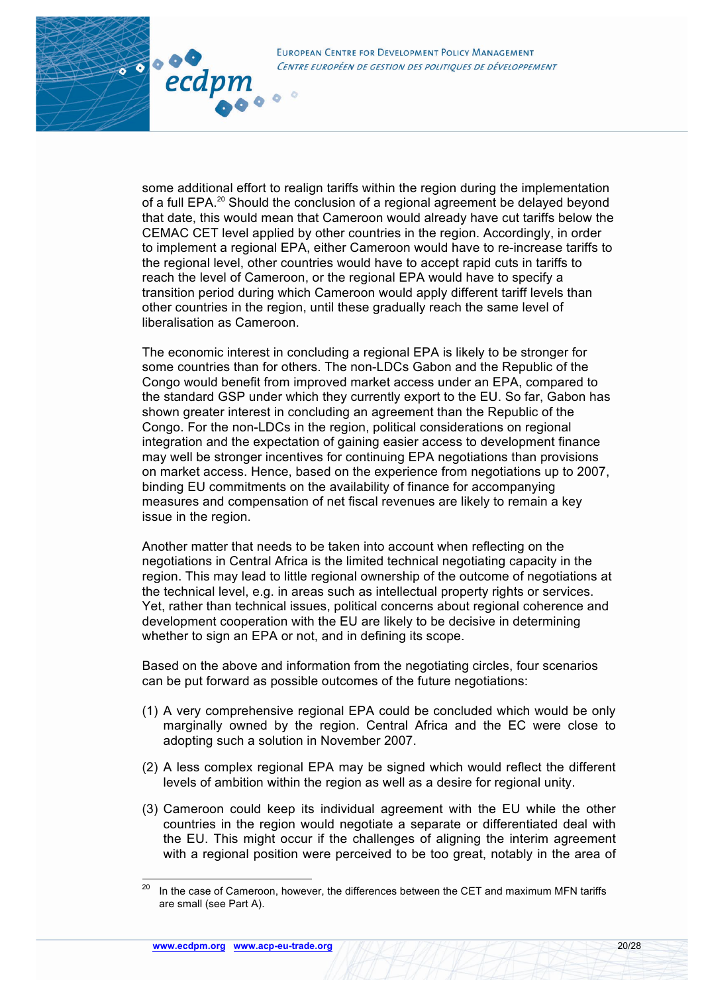

3000

ecdpn

some additional effort to realign tariffs within the region during the implementation of a full EPA.<sup>20</sup> Should the conclusion of a regional agreement be delayed beyond that date, this would mean that Cameroon would already have cut tariffs below the CEMAC CET level applied by other countries in the region. Accordingly, in order to implement a regional EPA, either Cameroon would have to re-increase tariffs to the regional level, other countries would have to accept rapid cuts in tariffs to reach the level of Cameroon, or the regional EPA would have to specify a transition period during which Cameroon would apply different tariff levels than other countries in the region, until these gradually reach the same level of liberalisation as Cameroon.

The economic interest in concluding a regional EPA is likely to be stronger for some countries than for others. The non-LDCs Gabon and the Republic of the Congo would benefit from improved market access under an EPA, compared to the standard GSP under which they currently export to the EU. So far, Gabon has shown greater interest in concluding an agreement than the Republic of the Congo. For the non-LDCs in the region, political considerations on regional integration and the expectation of gaining easier access to development finance may well be stronger incentives for continuing EPA negotiations than provisions on market access. Hence, based on the experience from negotiations up to 2007, binding EU commitments on the availability of finance for accompanying measures and compensation of net fiscal revenues are likely to remain a key issue in the region.

Another matter that needs to be taken into account when reflecting on the negotiations in Central Africa is the limited technical negotiating capacity in the region. This may lead to little regional ownership of the outcome of negotiations at the technical level, e.g. in areas such as intellectual property rights or services. Yet, rather than technical issues, political concerns about regional coherence and development cooperation with the EU are likely to be decisive in determining whether to sign an EPA or not, and in defining its scope.

Based on the above and information from the negotiating circles, four scenarios can be put forward as possible outcomes of the future negotiations:

- (1) A very comprehensive regional EPA could be concluded which would be only marginally owned by the region. Central Africa and the EC were close to adopting such a solution in November 2007.
- (2) A less complex regional EPA may be signed which would reflect the different levels of ambition within the region as well as a desire for regional unity.
- (3) Cameroon could keep its individual agreement with the EU while the other countries in the region would negotiate a separate or differentiated deal with the EU. This might occur if the challenges of aligning the interim agreement with a regional position were perceived to be too great, notably in the area of

 $20$  In the case of Cameroon, however, the differences between the CET and maximum MFN tariffs are small (see Part A).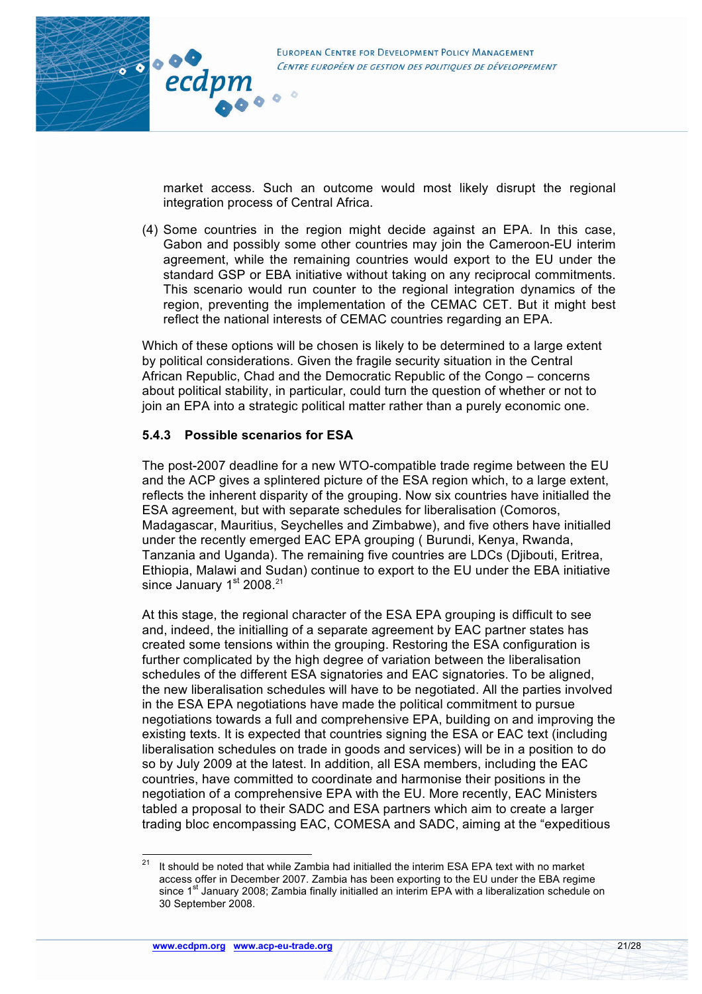

market access. Such an outcome would most likely disrupt the regional integration process of Central Africa.

(4) Some countries in the region might decide against an EPA. In this case, Gabon and possibly some other countries may join the Cameroon-EU interim agreement, while the remaining countries would export to the EU under the standard GSP or EBA initiative without taking on any reciprocal commitments. This scenario would run counter to the regional integration dynamics of the region, preventing the implementation of the CEMAC CET. But it might best reflect the national interests of CEMAC countries regarding an EPA.

Which of these options will be chosen is likely to be determined to a large extent by political considerations. Given the fragile security situation in the Central African Republic, Chad and the Democratic Republic of the Congo – concerns about political stability, in particular, could turn the question of whether or not to join an EPA into a strategic political matter rather than a purely economic one.

### **5.4.3 Possible scenarios for ESA**

The post-2007 deadline for a new WTO-compatible trade regime between the EU and the ACP gives a splintered picture of the ESA region which, to a large extent, reflects the inherent disparity of the grouping. Now six countries have initialled the ESA agreement, but with separate schedules for liberalisation (Comoros, Madagascar, Mauritius, Seychelles and Zimbabwe), and five others have initialled under the recently emerged EAC EPA grouping ( Burundi, Kenya, Rwanda, Tanzania and Uganda). The remaining five countries are LDCs (Djibouti, Eritrea, Ethiopia, Malawi and Sudan) continue to export to the EU under the EBA initiative since January 1<sup>st</sup> 2008.<sup>21</sup>

At this stage, the regional character of the ESA EPA grouping is difficult to see and, indeed, the initialling of a separate agreement by EAC partner states has created some tensions within the grouping. Restoring the ESA configuration is further complicated by the high degree of variation between the liberalisation schedules of the different ESA signatories and EAC signatories. To be aligned, the new liberalisation schedules will have to be negotiated. All the parties involved in the ESA EPA negotiations have made the political commitment to pursue negotiations towards a full and comprehensive EPA, building on and improving the existing texts. It is expected that countries signing the ESA or EAC text (including liberalisation schedules on trade in goods and services) will be in a position to do so by July 2009 at the latest. In addition, all ESA members, including the EAC countries, have committed to coordinate and harmonise their positions in the negotiation of a comprehensive EPA with the EU. More recently, EAC Ministers tabled a proposal to their SADC and ESA partners which aim to create a larger trading bloc encompassing EAC, COMESA and SADC, aiming at the "expeditious

 $21$  It should be noted that while Zambia had initialled the interim ESA EPA text with no market access offer in December 2007. Zambia has been exporting to the EU under the EBA regime since 1<sup>st</sup> January 2008; Zambia finally initialled an interim EPA with a liberalization schedule on 30 September 2008.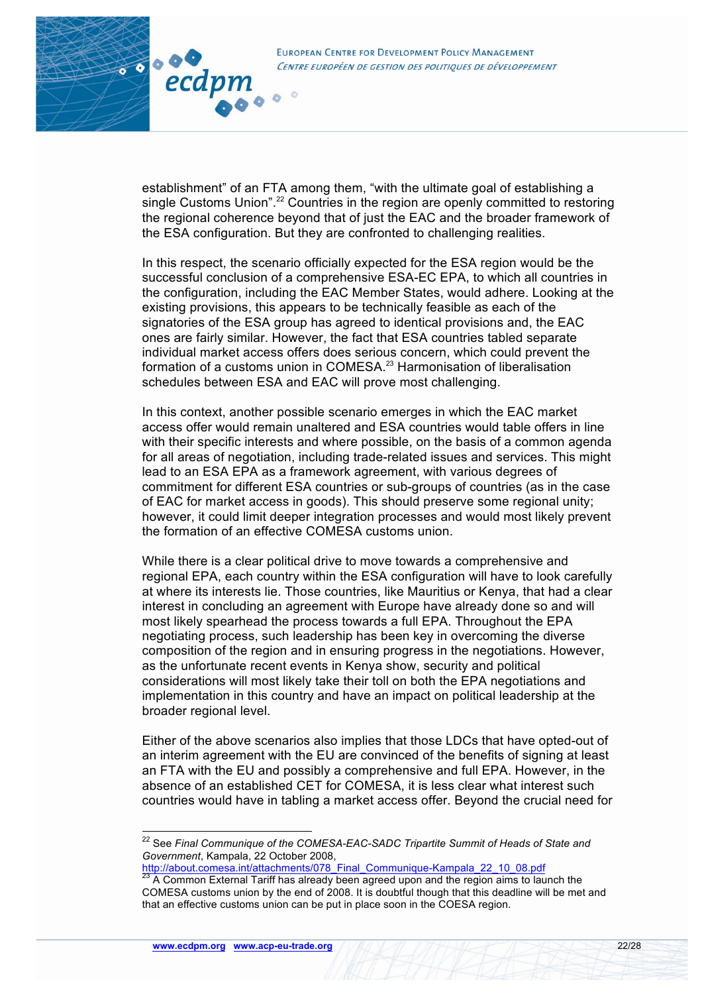

establishment" of an FTA among them, "with the ultimate goal of establishing a single Customs Union".<sup>22</sup> Countries in the region are openly committed to restoring the regional coherence beyond that of just the EAC and the broader framework of the ESA configuration. But they are confronted to challenging realities.

3000

ecdpm

**Y** 

In this respect, the scenario officially expected for the ESA region would be the successful conclusion of a comprehensive ESA-EC EPA, to which all countries in the configuration, including the EAC Member States, would adhere. Looking at the existing provisions, this appears to be technically feasible as each of the signatories of the ESA group has agreed to identical provisions and, the EAC ones are fairly similar. However, the fact that ESA countries tabled separate individual market access offers does serious concern, which could prevent the formation of a customs union in COMESA.<sup>23</sup> Harmonisation of liberalisation schedules between ESA and EAC will prove most challenging.

In this context, another possible scenario emerges in which the EAC market access offer would remain unaltered and ESA countries would table offers in line with their specific interests and where possible, on the basis of a common agenda for all areas of negotiation, including trade-related issues and services. This might lead to an ESA EPA as a framework agreement, with various degrees of commitment for different ESA countries or sub-groups of countries (as in the case of EAC for market access in goods). This should preserve some regional unity; however, it could limit deeper integration processes and would most likely prevent the formation of an effective COMESA customs union.

While there is a clear political drive to move towards a comprehensive and regional EPA, each country within the ESA configuration will have to look carefully at where its interests lie. Those countries, like Mauritius or Kenya, that had a clear interest in concluding an agreement with Europe have already done so and will most likely spearhead the process towards a full EPA. Throughout the EPA negotiating process, such leadership has been key in overcoming the diverse composition of the region and in ensuring progress in the negotiations. However, as the unfortunate recent events in Kenya show, security and political considerations will most likely take their toll on both the EPA negotiations and implementation in this country and have an impact on political leadership at the broader regional level.

Either of the above scenarios also implies that those LDCs that have opted-out of an interim agreement with the EU are convinced of the benefits of signing at least an FTA with the EU and possibly a comprehensive and full EPA. However, in the absence of an established CET for COMESA, it is less clear what interest such countries would have in tabling a market access offer. Beyond the crucial need for

http://about.comesa.int/attachments/078\_Final\_Communique-Kampala\_22\_10\_08.pdf<br><sup>23</sup> A Common External Tariff has already been agreed upon and the region aims to launch the

 <sup>22</sup> See *Final Communique of the COMESA-EAC-SADC Tripartite Summit of Heads of State and Government*, Kampala, 22 October 2008,

COMESA customs union by the end of 2008. It is doubtful though that this deadline will be met and that an effective customs union can be put in place soon in the COESA region.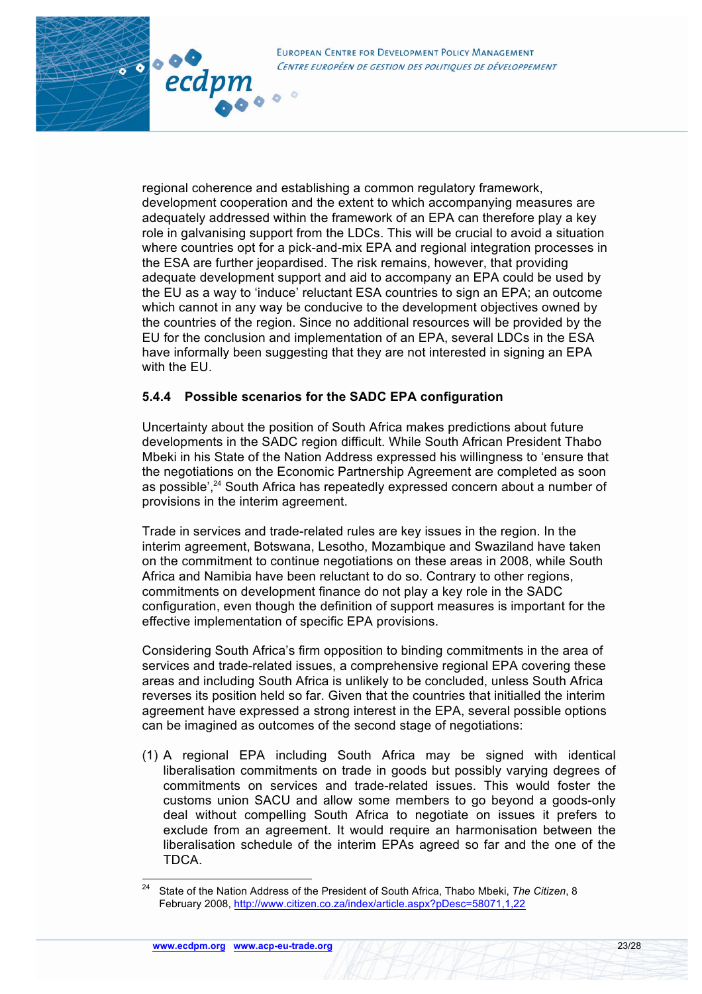

regional coherence and establishing a common regulatory framework, development cooperation and the extent to which accompanying measures are adequately addressed within the framework of an EPA can therefore play a key role in galvanising support from the LDCs. This will be crucial to avoid a situation where countries opt for a pick-and-mix EPA and regional integration processes in the ESA are further jeopardised. The risk remains, however, that providing adequate development support and aid to accompany an EPA could be used by the EU as a way to 'induce' reluctant ESA countries to sign an EPA; an outcome which cannot in any way be conducive to the development objectives owned by the countries of the region. Since no additional resources will be provided by the EU for the conclusion and implementation of an EPA, several LDCs in the ESA have informally been suggesting that they are not interested in signing an EPA with the EU.

### **5.4.4 Possible scenarios for the SADC EPA configuration**

3000

ecdpm

Uncertainty about the position of South Africa makes predictions about future developments in the SADC region difficult. While South African President Thabo Mbeki in his State of the Nation Address expressed his willingness to 'ensure that the negotiations on the Economic Partnership Agreement are completed as soon as possible',<sup>24</sup> South Africa has repeatedly expressed concern about a number of provisions in the interim agreement.

Trade in services and trade-related rules are key issues in the region. In the interim agreement, Botswana, Lesotho, Mozambique and Swaziland have taken on the commitment to continue negotiations on these areas in 2008, while South Africa and Namibia have been reluctant to do so. Contrary to other regions, commitments on development finance do not play a key role in the SADC configuration, even though the definition of support measures is important for the effective implementation of specific EPA provisions.

Considering South Africa's firm opposition to binding commitments in the area of services and trade-related issues, a comprehensive regional EPA covering these areas and including South Africa is unlikely to be concluded, unless South Africa reverses its position held so far. Given that the countries that initialled the interim agreement have expressed a strong interest in the EPA, several possible options can be imagined as outcomes of the second stage of negotiations:

(1) A regional EPA including South Africa may be signed with identical liberalisation commitments on trade in goods but possibly varying degrees of commitments on services and trade-related issues. This would foster the customs union SACU and allow some members to go beyond a goods-only deal without compelling South Africa to negotiate on issues it prefers to exclude from an agreement. It would require an harmonisation between the liberalisation schedule of the interim EPAs agreed so far and the one of the TDCA.

 <sup>24</sup> State of the Nation Address of the President of South Africa, Thabo Mbeki, *The Citizen*, 8 February 2008, http://www.citizen.co.za/index/article.aspx?pDesc=58071,1,22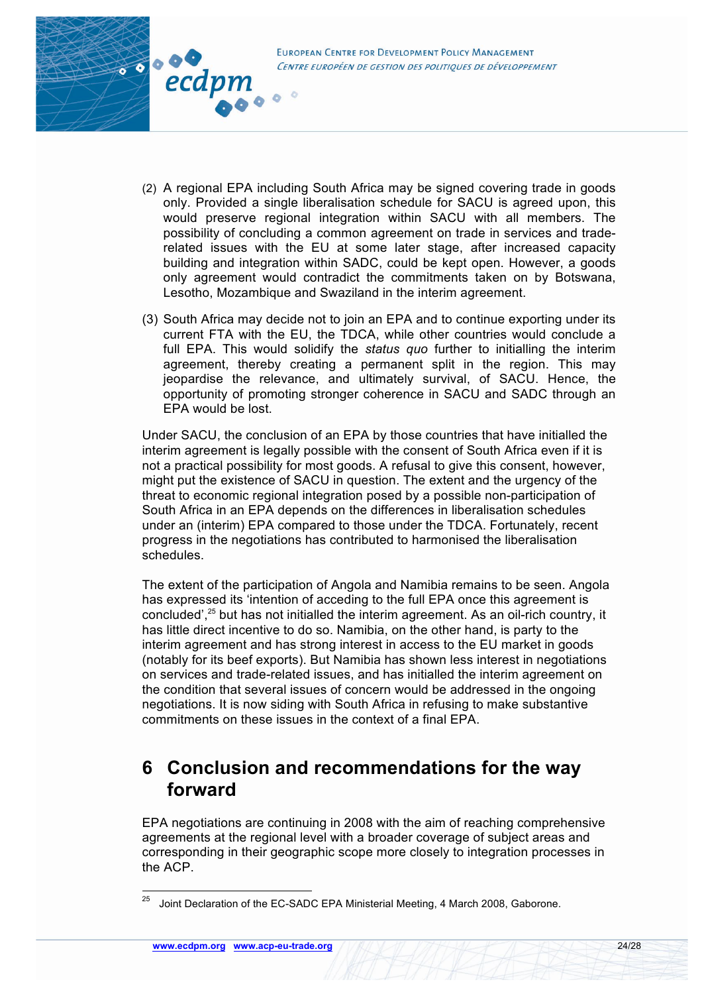

- (2) A regional EPA including South Africa may be signed covering trade in goods only. Provided a single liberalisation schedule for SACU is agreed upon, this would preserve regional integration within SACU with all members. The possibility of concluding a common agreement on trade in services and traderelated issues with the EU at some later stage, after increased capacity building and integration within SADC, could be kept open. However, a goods only agreement would contradict the commitments taken on by Botswana, Lesotho, Mozambique and Swaziland in the interim agreement.
- (3) South Africa may decide not to join an EPA and to continue exporting under its current FTA with the EU, the TDCA, while other countries would conclude a full EPA. This would solidify the *status quo* further to initialling the interim agreement, thereby creating a permanent split in the region. This may jeopardise the relevance, and ultimately survival, of SACU. Hence, the opportunity of promoting stronger coherence in SACU and SADC through an EPA would be lost.

Under SACU, the conclusion of an EPA by those countries that have initialled the interim agreement is legally possible with the consent of South Africa even if it is not a practical possibility for most goods. A refusal to give this consent, however, might put the existence of SACU in question. The extent and the urgency of the threat to economic regional integration posed by a possible non-participation of South Africa in an EPA depends on the differences in liberalisation schedules under an (interim) EPA compared to those under the TDCA. Fortunately, recent progress in the negotiations has contributed to harmonised the liberalisation schedules.

The extent of the participation of Angola and Namibia remains to be seen. Angola has expressed its 'intention of acceding to the full EPA once this agreement is concluded',<sup>25</sup> but has not initialled the interim agreement. As an oil-rich country, it has little direct incentive to do so. Namibia, on the other hand, is party to the interim agreement and has strong interest in access to the EU market in goods (notably for its beef exports). But Namibia has shown less interest in negotiations on services and trade-related issues, and has initialled the interim agreement on the condition that several issues of concern would be addressed in the ongoing negotiations. It is now siding with South Africa in refusing to make substantive commitments on these issues in the context of a final EPA.

# **6 Conclusion and recommendations for the way forward**

EPA negotiations are continuing in 2008 with the aim of reaching comprehensive agreements at the regional level with a broader coverage of subject areas and corresponding in their geographic scope more closely to integration processes in the ACP.

 $25$  Joint Declaration of the EC-SADC EPA Ministerial Meeting, 4 March 2008, Gaborone.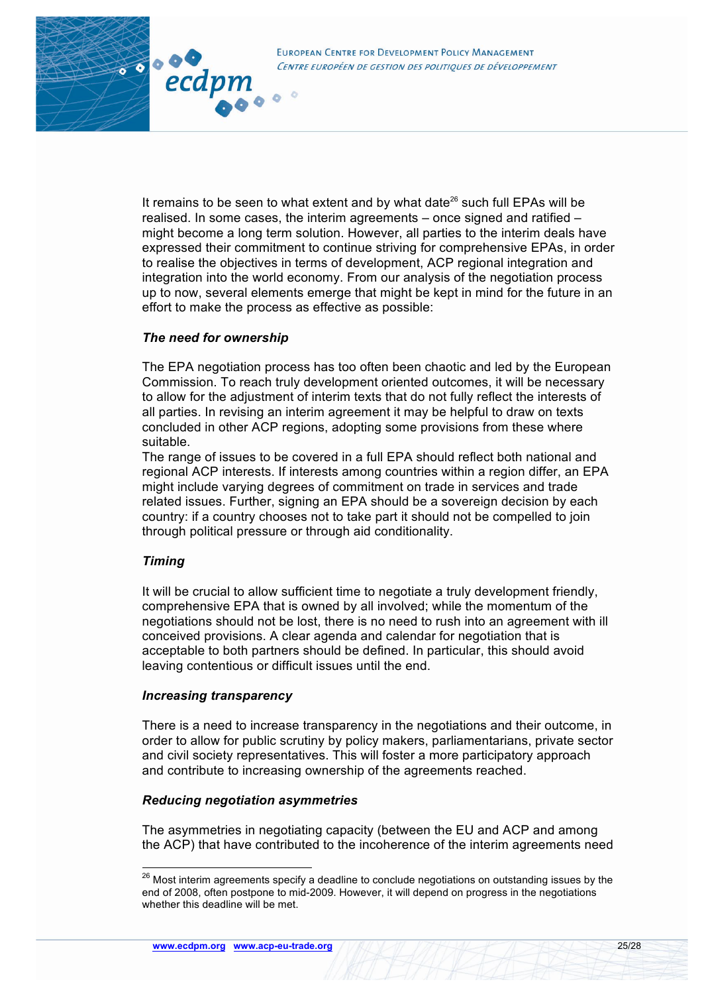

**Y** 

It remains to be seen to what extent and by what date $^{26}$  such full EPAs will be realised. In some cases, the interim agreements – once signed and ratified – might become a long term solution. However, all parties to the interim deals have expressed their commitment to continue striving for comprehensive EPAs, in order to realise the objectives in terms of development, ACP regional integration and integration into the world economy. From our analysis of the negotiation process up to now, several elements emerge that might be kept in mind for the future in an effort to make the process as effective as possible:

#### *The need for ownership*

The EPA negotiation process has too often been chaotic and led by the European Commission. To reach truly development oriented outcomes, it will be necessary to allow for the adjustment of interim texts that do not fully reflect the interests of all parties. In revising an interim agreement it may be helpful to draw on texts concluded in other ACP regions, adopting some provisions from these where suitable.

The range of issues to be covered in a full EPA should reflect both national and regional ACP interests. If interests among countries within a region differ, an EPA might include varying degrees of commitment on trade in services and trade related issues. Further, signing an EPA should be a sovereign decision by each country: if a country chooses not to take part it should not be compelled to join through political pressure or through aid conditionality.

#### *Timing*

It will be crucial to allow sufficient time to negotiate a truly development friendly, comprehensive EPA that is owned by all involved; while the momentum of the negotiations should not be lost, there is no need to rush into an agreement with ill conceived provisions. A clear agenda and calendar for negotiation that is acceptable to both partners should be defined. In particular, this should avoid leaving contentious or difficult issues until the end.

#### *Increasing transparency*

There is a need to increase transparency in the negotiations and their outcome, in order to allow for public scrutiny by policy makers, parliamentarians, private sector and civil society representatives. This will foster a more participatory approach and contribute to increasing ownership of the agreements reached.

#### *Reducing negotiation asymmetries*

The asymmetries in negotiating capacity (between the EU and ACP and among the ACP) that have contributed to the incoherence of the interim agreements need

<sup>&</sup>lt;sup>26</sup> Most interim agreements specify a deadline to conclude negotiations on outstanding issues by the end of 2008, often postpone to mid-2009. However, it will depend on progress in the negotiations whether this deadline will be met.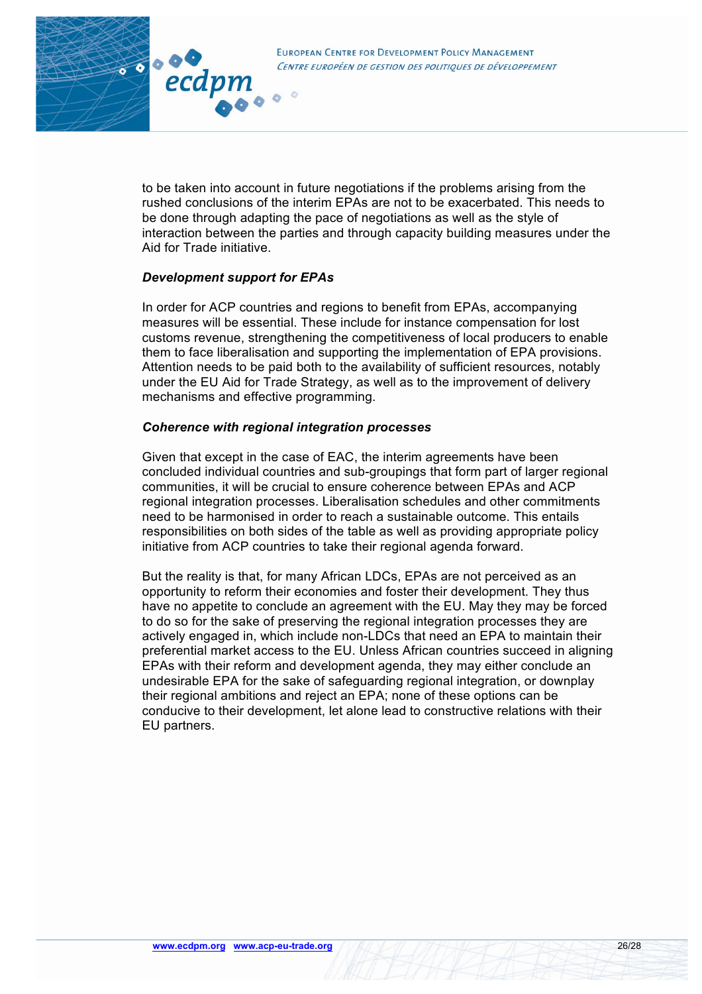

to be taken into account in future negotiations if the problems arising from the rushed conclusions of the interim EPAs are not to be exacerbated. This needs to be done through adapting the pace of negotiations as well as the style of interaction between the parties and through capacity building measures under the Aid for Trade initiative.

### *Development support for EPAs*

In order for ACP countries and regions to benefit from EPAs, accompanying measures will be essential. These include for instance compensation for lost customs revenue, strengthening the competitiveness of local producers to enable them to face liberalisation and supporting the implementation of EPA provisions. Attention needs to be paid both to the availability of sufficient resources, notably under the EU Aid for Trade Strategy, as well as to the improvement of delivery mechanisms and effective programming.

### *Coherence with regional integration processes*

Given that except in the case of EAC, the interim agreements have been concluded individual countries and sub-groupings that form part of larger regional communities, it will be crucial to ensure coherence between EPAs and ACP regional integration processes. Liberalisation schedules and other commitments need to be harmonised in order to reach a sustainable outcome. This entails responsibilities on both sides of the table as well as providing appropriate policy initiative from ACP countries to take their regional agenda forward.

But the reality is that, for many African LDCs, EPAs are not perceived as an opportunity to reform their economies and foster their development. They thus have no appetite to conclude an agreement with the EU. May they may be forced to do so for the sake of preserving the regional integration processes they are actively engaged in, which include non-LDCs that need an EPA to maintain their preferential market access to the EU. Unless African countries succeed in aligning EPAs with their reform and development agenda, they may either conclude an undesirable EPA for the sake of safeguarding regional integration, or downplay their regional ambitions and reject an EPA; none of these options can be conducive to their development, let alone lead to constructive relations with their EU partners.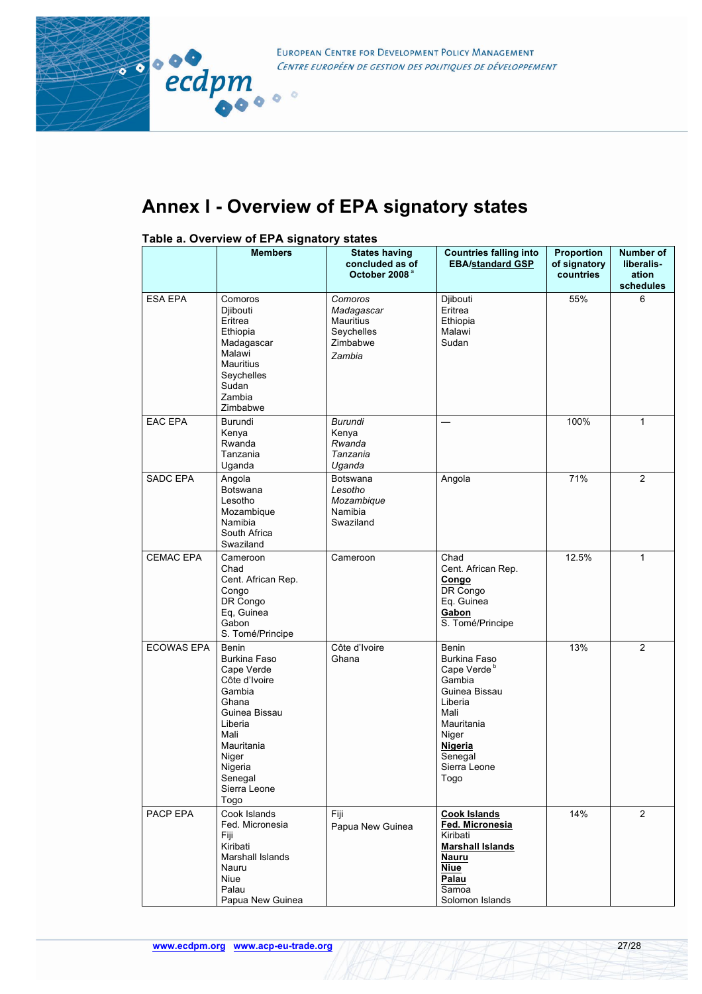

EUROPEAN CENTRE FOR DEVELOPMENT POLICY MANAGEMENT CENTRE EUROPÉEN DE GESTION DES POLITIQUES DE DÉVELOPPEMENT

# **Annex I - Overview of EPA signatory states**

### **Table a. Overview of EPA signatory states**

|                   | <b>Members</b>                                                                                                                                                                                 | <b>States having</b><br>concluded as of<br>October 2008 <sup>a</sup>   | <b>Countries falling into</b><br><b>EBA/standard GSP</b>                                                                                                                          | <b>Proportion</b><br>of signatory<br>countries | Number of<br>liberalis-<br>ation<br>schedules |
|-------------------|------------------------------------------------------------------------------------------------------------------------------------------------------------------------------------------------|------------------------------------------------------------------------|-----------------------------------------------------------------------------------------------------------------------------------------------------------------------------------|------------------------------------------------|-----------------------------------------------|
| <b>ESA EPA</b>    | Comoros<br>Djibouti<br>Eritrea<br>Ethiopia<br>Madagascar<br>Malawi<br><b>Mauritius</b><br>Seychelles<br>Sudan<br>Zambia<br>Zimbabwe                                                            | Comoros<br>Madagascar<br>Mauritius<br>Seychelles<br>Zimbabwe<br>Zambia | Djibouti<br>Eritrea<br>Ethiopia<br>Malawi<br>Sudan                                                                                                                                | 55%                                            | 6                                             |
| <b>EAC EPA</b>    | Burundi<br>Kenya<br>Rwanda<br>Tanzania<br>Uganda                                                                                                                                               | Burundi<br>Kenya<br>Rwanda<br>Tanzania<br>Uganda                       |                                                                                                                                                                                   | 100%                                           | 1                                             |
| <b>SADC EPA</b>   | Angola<br><b>Botswana</b><br>Lesotho<br>Mozambique<br>Namibia<br>South Africa<br>Swaziland                                                                                                     | <b>Botswana</b><br>Lesotho<br>Mozambique<br>Namibia<br>Swaziland       | Angola                                                                                                                                                                            | 71%                                            | $\overline{2}$                                |
| CEMAC EPA         | Cameroon<br>Chad<br>Cent. African Rep.<br>Congo<br>DR Congo<br>Eq, Guinea<br>Gabon<br>S. Tomé/Principe                                                                                         | Cameroon                                                               | Chad<br>Cent. African Rep.<br>Congo<br>DR Congo<br>Eq. Guinea<br>Gabon<br>S. Tomé/Principe                                                                                        | 12.5%                                          | $\mathbf{1}$                                  |
| <b>ECOWAS EPA</b> | <b>Benin</b><br><b>Burkina Faso</b><br>Cape Verde<br>Côte d'Ivoire<br>Gambia<br>Ghana<br>Guinea Bissau<br>Liberia<br>Mali<br>Mauritania<br>Niger<br>Nigeria<br>Senegal<br>Sierra Leone<br>Togo | Côte d'Ivoire<br>Ghana                                                 | <b>Benin</b><br><b>Burkina Faso</b><br>Cape Verde <sup>b</sup><br>Gambia<br>Guinea Bissau<br>Liberia<br>Mali<br>Mauritania<br>Niger<br>Nigeria<br>Senegal<br>Sierra Leone<br>Togo | 13%                                            | $\overline{2}$                                |
| PACP EPA          | Cook Islands<br>Fed. Micronesia<br>Fiji<br>Kiribati<br>Marshall Islands<br>Nauru<br>Niue<br>Palau<br>Papua New Guinea                                                                          | Fiji<br>Papua New Guinea                                               | <b>Cook Islands</b><br>Fed. Micronesia<br>Kiribati<br><b>Marshall Islands</b><br>Nauru<br><b>Niue</b><br>Palau<br>Samoa<br>Solomon Islands                                        | 14%                                            | $\overline{2}$                                |